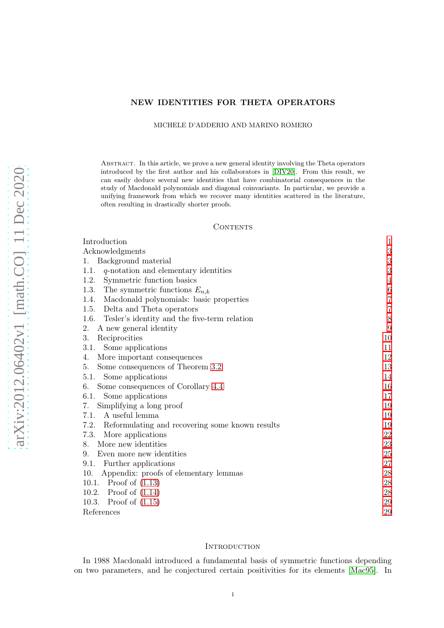# NEW IDENTITIES FOR THETA OPERATORS

#### MICHELE D'ADDERIO AND MARINO ROMERO

Abstract. In this article, we prove a new general identity involving the Theta operators introduced by the first author and his collaborators in [\[DIV20\]](#page-29-0). From this result, we can easily deduce several new identities that have combinatorial consequences in the study of Macdonald polynomials and diagonal coinvariants. In particular, we provide a unifying framework from which we recover many identities scattered in the literature, often resulting in drastically shorter proofs.

#### **CONTENTS**

| Introduction                                            | $\mathbf{1}$     |
|---------------------------------------------------------|------------------|
| Acknowledgments                                         | $\boldsymbol{3}$ |
| Background material                                     | 3                |
| $q$ -notation and elementary identities<br>1.1.         | 3                |
| Symmetric function basics<br>1.2.                       | $\overline{4}$   |
| 1.3.<br>The symmetric functions $E_{n,k}$               | $\,$ 6 $\,$      |
| Macdonald polynomials: basic properties<br>1.4.         | 7                |
| Delta and Theta operators<br>1.5.                       | $\overline{7}$   |
| 1.6. Tesler's identity and the five-term relation       | $8\,$            |
| A new general identity<br>2.                            | 9                |
| 3.<br>Reciprocities                                     | 10               |
| Some applications<br>3.1.                               | 11               |
| More important consequences<br>4.                       | 12               |
| Some consequences of Theorem 3.2<br>5.                  | 13               |
| 5.1. Some applications                                  | 14               |
| Some consequences of Corollary 4.4<br>6.                | 16               |
| 6.1. Some applications                                  | 17               |
| Simplifying a long proof<br>7.                          | 19               |
| A useful lemma<br>7.1.                                  | 19               |
| Reformulating and recovering some known results<br>7.2. | 19               |
| More applications<br>7.3.                               | 22               |
| More new identities<br>8.                               | 23               |
| Even more new identities<br>9.                          | 25               |
| Further applications<br>9.1.                            | 27               |
| Appendix: proofs of elementary lemmas<br>10.            | 28               |
| 10.1. Proof of $(1.13)$                                 | 28               |
| 10.2. Proof of $(1.14)$                                 | 28               |
| Proof of $(1.15)$<br>10.3.                              | 29               |
| References                                              | 29               |

#### <span id="page-0-0"></span>**INTRODUCTION**

In 1988 Macdonald introduced a fundamental basis of symmetric functions depending on two parameters, and he conjectured certain positivities for its elements [\[Mac95\]](#page-29-1). In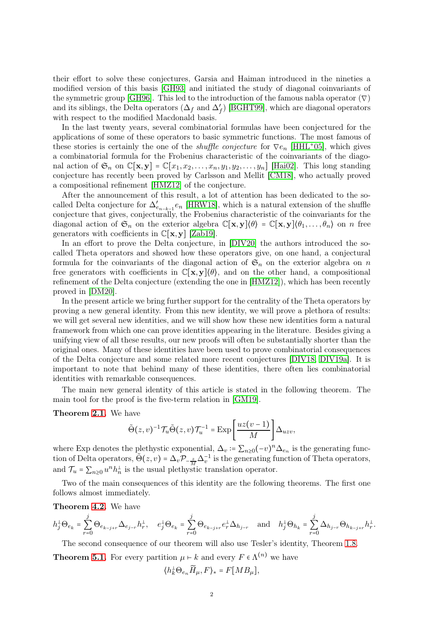their effort to solve these conjectures, Garsia and Haiman introduced in the nineties a modified version of this basis [\[GH93\]](#page-29-2) and initiated the study of diagonal coinvariants of the symmetric group [\[GH96\]](#page-29-3). This led to the introduction of the famous nabla operator ( $\nabla$ ) and its siblings, the Delta operators  $(\Delta_f$  and  $\Delta'_f)$  [\[BGHT99\]](#page-29-4), which are diagonal operators with respect to the modified Macdonald basis.

In the last twenty years, several combinatorial formulas have been conjectured for the applications of some of these operators to basic symmetric functions. The most famous of these stories is certainly the one of the *shuffle conjecture* for  $\nabla e_n$  [\[HHL](#page-29-5)<sup>+</sup>05], which gives a combinatorial formula for the Frobenius characteristic of the coinvariants of the diagonal action of  $\mathfrak{S}_n$  on  $\mathbb{C}[\mathbf{x}, \mathbf{y}] = \mathbb{C}[x_1, x_2, \dots, x_n, y_1, y_2, \dots, y_n]$  [\[Hai02\]](#page-29-6). This long standing conjecture has recently been proved by Carlsson and Mellit [\[CM18\]](#page-29-7), who actually proved a compositional refinement [\[HMZ12\]](#page-29-8) of the conjecture.

After the announcement of this result, a lot of attention has been dedicated to the socalled Delta conjecture for  $\Delta'_{e_{n-k-1}}e_n$  [\[HRW18\]](#page-29-9), which is a natural extension of the shuffle conjecture that gives, conjecturally, the Frobenius characteristic of the coinvariants for the diagonal action of  $\mathfrak{S}_n$  on the exterior algebra  $\mathbb{C}[\mathbf{x},\mathbf{y}](\theta) = \mathbb{C}[\mathbf{x},\mathbf{y}](\theta_1,\ldots,\theta_n)$  on n free generators with coefficients in  $\mathbb{C}[\mathbf{x}, \mathbf{y}]$  [\[Zab19\]](#page-29-10).

In an effort to prove the Delta conjecture, in [\[DIV20\]](#page-29-0) the authors introduced the socalled Theta operators and showed how these operators give, on one hand, a conjectural formula for the coinvariants of the diagonal action of  $\mathfrak{S}_n$  on the exterior algebra on n free generators with coefficients in  $\mathbb{C}[\mathbf{x}, \mathbf{y}]\langle\theta\rangle$ , and on the other hand, a compositional refinement of the Delta conjecture (extending the one in [\[HMZ12\]](#page-29-8)), which has been recently proved in [\[DM20\]](#page-29-11).

In the present article we bring further support for the centrality of the Theta operators by proving a new general identity. From this new identity, we will prove a plethora of results: we will get several new identities, and we will show how these new identities form a natural framework from which one can prove identities appearing in the literature. Besides giving a unifying view of all these results, our new proofs will often be substantially shorter than the original ones. Many of these identities have been used to prove combinatorial consequences of the Delta conjecture and some related more recent conjectures [\[DIV18,](#page-29-12) [DIV19a\]](#page-29-13). It is important to note that behind many of these identities, there often lies combinatorial identities with remarkable consequences.

The main new general identity of this article is stated in the following theorem. The main tool for the proof is the five-term relation in [\[GM19\]](#page-29-14).

Theorem [2.1.](#page-9-1) We have

$$
\tilde{\Theta}(z,v)^{-1} \mathcal{T}_u \tilde{\Theta}(z,v) \mathcal{T}_u^{-1} = \operatorname{Exp}\left[\frac{uz(v-1)}{M}\right] \Delta_{uzv},
$$

where Exp denotes the plethystic exponential,  $\Delta_v \coloneqq \sum_{n\geq 0} (-v)^n \Delta_{e_n}$  is the generating function of Delta operators,  $\tilde{\Theta}(z, v) = \Delta_v \mathcal{P}_{-\frac{z}{M}} \Delta_v^{-1}$  is the generating function of Theta operators, and  $\mathcal{T}_u = \sum_{n\geq 0} u^n h_n^{\perp}$  is the usual plethystic translation operator.

Two of the main consequences of this identity are the following theorems. The first one follows almost immediately.

Theorem [4.2.](#page-11-1) We have

$$
h_j^\perp \Theta_{e_k} = \sum_{r=0}^j \Theta_{e_{k-j+r}} \Delta_{e_{j-r}} h_r^\perp, \quad e_j^\perp \Theta_{e_k} = \sum_{r=0}^j \Theta_{e_{k-j+r}} e_r^\perp \Delta_{h_{j-r}} \quad \text{and} \quad h_j^\perp \Theta_{h_k} = \sum_{r=0}^j \Delta_{h_{j-r}} \Theta_{h_{k-j+r}} h_r^\perp.
$$

The second consequence of our theorem will also use Tesler's identity, Theorem [1.8.](#page-8-1)

**Theorem [5.1.](#page-12-2)** For every partition  $\mu \vdash k$  and every  $F \in \Lambda^{(n)}$  we have

$$
\langle h_k^{\perp} \Theta_{e_n} \widetilde{H}_{\mu}, F \rangle_* = F[M B_{\mu}],
$$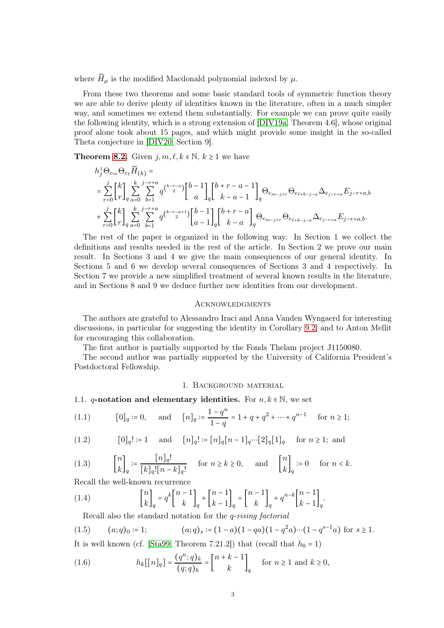where  $\widetilde{H}_{\mu}$  is the modified Macdonald polynomial indexed by  $\mu$ .

From these two theorems and some basic standard tools of symmetric function theory we are able to derive plenty of identities known in the literature, often in a much simpler way, and sometimes we extend them substantially. For example we can prove quite easily the following identity, which is a strong extension of [\[DIV19a,](#page-29-13) Theorem 4.6], whose original proof alone took about 15 pages, and which might provide some insight in the so-called Theta conjecture in [\[DIV20,](#page-29-0) Section 9].

**Theorem [8.2.](#page-23-0)** Given  $j, m, \ell, k \in \mathbb{N}, k \geq 1$  we have

$$
\begin{split} &h_j^{\perp} \Theta_{e_m} \Theta_{e_\ell} \widetilde{H}_{(k)} = \\ &= \sum_{r=0}^j \genfrac{[}{]}{0pt}{}{k}{r} \sum_{a=0}^k \sum_{b=1}^{j-r+a} q^{\binom{k-r-a}{2}} {b-1 \brack a} {b+r-a-1 \brack a} \Theta_{e_{m-j+r}} \Theta_{e_{\ell+k-j-a}} \Delta_{e_{j-r+a}} E_{j-r+a,b} \\ &+ \sum_{r=0}^j \genfrac{[}{]}{0pt}{}{k}{r} \sum_{a=0}^k \sum_{b=1}^{j-r+a} q^{\binom{k-r-a+1}{2}} {b-1 \brack a-1} {b+r-a \brack a-a} \Theta_{e_{m-j+r}} \Theta_{e_{\ell+k-j-a}} \Delta_{e_{j-r+a}} E_{j-r+a,b}. \end{split}
$$

The rest of the paper is organized in the following way. In Section 1 we collect the definitions and results needed in the rest of the article. In Section 2 we prove our main result. In Sections 3 and 4 we give the main consequences of our general identity. In Sections 5 and 6 we develop several consequences of Sections 3 and 4 respectively. In Section 7 we provide a new simplified treatment of several known results in the literature, and in Sections 8 and 9 we deduce further new identities from our development.

#### <span id="page-2-0"></span>**ACKNOWLEDGMENTS**

The authors are grateful to Alessandro Iraci and Anna Vanden Wyngaerd for interesting discussions, in particular for suggesting the identity in Corollary [9.2,](#page-25-0) and to Anton Mellit for encouraging this collaboration.

The first author is partially supported by the Fonds Thelam project J1150080.

<span id="page-2-1"></span>The second author was partially supported by the University of California President's Postdoctoral Fellowship.

#### 1. Background material

<span id="page-2-2"></span>1.1. q-notation and elementary identities. For  $n, k \in \mathbb{N}$ , we set

(1.1) 
$$
[0]_q \coloneqq 0, \text{ and } [n]_q \coloneqq \frac{1-q^n}{1-q} = 1 + q + q^2 + \dots + q^{n-1} \text{ for } n \ge 1;
$$

(1.2) 
$$
[0]_q! := 1
$$
 and  $[n]_q! := [n]_q[n-1]_q \cdots [2]_q[1]_q$  for  $n \ge 1$ ; and

(1.3) 
$$
\begin{bmatrix} n \\ k \end{bmatrix}_q := \frac{[n]_q!}{[k]_q! [n-k]_q!} \text{ for } n \ge k \ge 0, \text{ and } \begin{bmatrix} n \\ k \end{bmatrix}_q := 0 \text{ for } n < k.
$$

Recall the well-known recurrence

(1.4) 
$$
\begin{bmatrix} n \\ k \end{bmatrix}_q = q^k \begin{bmatrix} n-1 \\ k \end{bmatrix}_q + \begin{bmatrix} n-1 \\ k-1 \end{bmatrix}_q = \begin{bmatrix} n-1 \\ k \end{bmatrix}_q + q^{n-k} \begin{bmatrix} n-1 \\ k-1 \end{bmatrix}_q.
$$

<span id="page-2-4"></span>Recall also the standard notation for the q-rising factorial

(1.5) 
$$
(a;q)_0 := 1;
$$
  $(a;q)_s := (1-a)(1-qa)(1-q^2a)\cdots(1-q^{s-1}a)$  for  $s \ge 1$ .

It is well known (cf. [\[Sta99,](#page-29-15) Theorem 7.21.2]) that (recall that  $h_0 = 1$ )

<span id="page-2-3"></span>(1.6) 
$$
h_k[[n]_q] = \frac{(q^n;q)_k}{(q;q)_k} = \begin{bmatrix} n+k-1 \\ k \end{bmatrix}_q \text{ for } n \ge 1 \text{ and } k \ge 0,
$$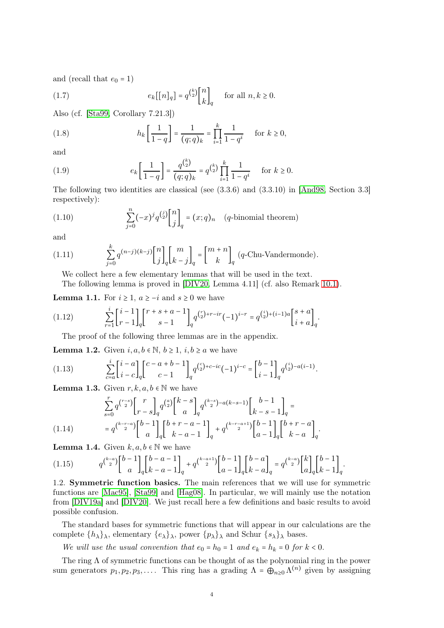and (recall that  $e_0 = 1$ )

<span id="page-3-7"></span>(1.7) 
$$
e_k[[n]_q] = q^{\binom{k}{2}} {n \brack k}_q \quad \text{for all } n, k \ge 0.
$$

Also (cf. [\[Sta99,](#page-29-15) Corollary 7.21.3])

<span id="page-3-4"></span>(1.8) 
$$
h_k \left[ \frac{1}{1-q} \right] = \frac{1}{(q;q)_k} = \prod_{i=1}^k \frac{1}{1-q^i} \quad \text{for } k \ge 0,
$$

and

(1.9) 
$$
e_k \left[ \frac{1}{1-q} \right] = \frac{q^{\binom{k}{2}}}{(q;q)_k} = q^{\binom{k}{2}} \prod_{i=1}^k \frac{1}{1-q^i} \quad \text{for } k \ge 0.
$$

The following two identities are classical (see (3.3.6) and (3.3.10) in [\[And98,](#page-28-2) Section 3.3] respectively):

<span id="page-3-5"></span>(1.10) 
$$
\sum_{j=0}^{n} (-x)^{j} q^{\binom{j}{2}} \begin{bmatrix} n \\ j \end{bmatrix}_{q} = (x; q)_{n} \quad (q\text{-binomial theorem})
$$

and

(1.11) 
$$
\sum_{j=0}^{k} q^{(n-j)(k-j)} \begin{bmatrix} n \\ j \end{bmatrix}_{q} \begin{bmatrix} m \\ k-j \end{bmatrix}_{q} = \begin{bmatrix} m+n \\ k \end{bmatrix}_{q} (q\text{-Chu-Vandermonde}).
$$

<span id="page-3-6"></span>We collect here a few elementary lemmas that will be used in the text.

The following lemma is proved in [\[DIV20,](#page-29-0) Lemma 4.11] (cf. also Remark [10.1\)](#page-27-3).

**Lemma 1.1.** For  $i \geq 1$ ,  $a \geq -i$  and  $s \geq 0$  we have

(1.12) 
$$
\sum_{r=1}^{i} \begin{bmatrix} i-1 \ r-1 \end{bmatrix}_q \begin{bmatrix} r+s+a-1 \ s-1 \end{bmatrix}_q q^{r \choose 2} + r - ir(-1)^{i-r} = q^{i \choose 2} + (i-1)a \begin{bmatrix} s+a \ i+a \end{bmatrix}_q.
$$

<span id="page-3-8"></span>The proof of the following three lemmas are in the appendix.

**Lemma 1.2.** Given  $i, a, b \in \mathbb{N}, b \ge 1, i, b \ge a$  we have

<span id="page-3-1"></span>(1.13) 
$$
\sum_{c=a}^{i} \begin{bmatrix} i-a \\ i-c \end{bmatrix}_{q} \begin{bmatrix} c-a+b-1 \\ c-1 \end{bmatrix}_{q} q^{c}2^{c} + c^{-ic}(-1)^{i-c} = \begin{bmatrix} b-1 \\ i-1 \end{bmatrix}_{q} q^{i}2^{c} - a(i-1).
$$

**Lemma 1.3.** Given  $r, k, a, b \in \mathbb{N}$  we have

$$
\sum_{s=0}^{r} q^{\binom{r-s}{2}} \begin{bmatrix} r \\ r-s \end{bmatrix}_{q} q^{\binom{a}{2}} \begin{bmatrix} k-s \\ a \end{bmatrix}_{q} q^{\binom{k-s}{2} - a(k-s-1)} \begin{bmatrix} b-1 \\ k-s-1 \end{bmatrix}_{q} =
$$
\n
$$
(1.14) \qquad \qquad = q^{\binom{k-r-a}{2}} \begin{bmatrix} b-1 \\ a \end{bmatrix}_{q} \begin{bmatrix} b+r-a-1 \\ k-a-1 \end{bmatrix}_{q} + q^{\binom{k-r-a+1}{2}} \begin{bmatrix} b-1 \\ a-1 \end{bmatrix}_{q} \begin{bmatrix} b+r-a \\ k-a \end{bmatrix}_{q}.
$$

<span id="page-3-2"></span>**Lemma 1.4.** Given  $k, a, b \in \mathbb{N}$  we have

<span id="page-3-3"></span>
$$
(1.15) \qquad q^{\binom{k-a}{2}} \binom{b-1}{a}_{q} \binom{b-a-1}{k-a-1}_{q} + q^{\binom{k-a+1}{2}} \binom{b-1}{a-1}_{q} \binom{b-a}{k-a}_{q} = q^{\binom{k-a}{2}} \binom{k}{a}_{q} \binom{b-1}{k-1}_{q}.
$$

<span id="page-3-0"></span>1.2. Symmetric function basics. The main references that we will use for symmetric functions are [\[Mac95\]](#page-29-1), [\[Sta99\]](#page-29-15) and [\[Hag08\]](#page-29-16). In particular, we will mainly use the notation from [\[DIV19a\]](#page-29-13) and [\[DIV20\]](#page-29-0). We just recall here a few definitions and basic results to avoid possible confusion.

The standard bases for symmetric functions that will appear in our calculations are the complete  $\{h_\lambda\}_\lambda$ , elementary  $\{e_\lambda\}_\lambda$ , power  $\{p_\lambda\}_\lambda$  and Schur  $\{s_\lambda\}_\lambda$  bases.

We will use the usual convention that  $e_0 = h_0 = 1$  and  $e_k = h_k = 0$  for  $k < 0$ .

The ring  $\Lambda$  of symmetric functions can be thought of as the polynomial ring in the power sum generators  $p_1, p_2, p_3, \ldots$ . This ring has a grading  $\Lambda = \bigoplus_{n\geq 0} \Lambda^{(n)}$  given by assigning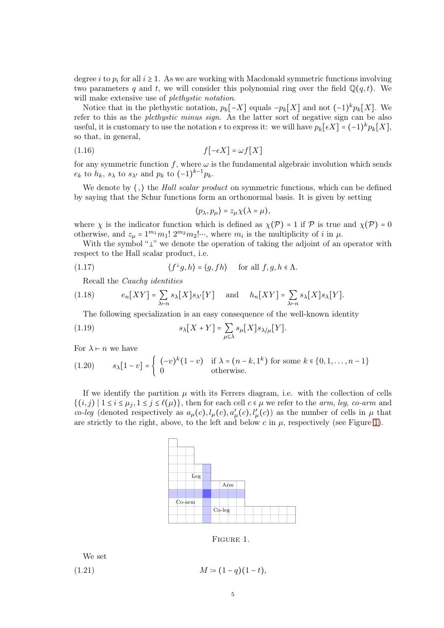degree *i* to  $p_i$  for all  $i \geq 1$ . As we are working with Macdonald symmetric functions involving two parameters q and t, we will consider this polynomial ring over the field  $\mathbb{Q}(q,t)$ . We will make extensive use of *plethystic notation*.

Notice that in the plethystic notation,  $p_k[-X]$  equals  $-p_k[X]$  and not  $(-1)^k p_k[X]$ . We refer to this as the plethystic minus sign. As the latter sort of negative sign can be also useful, it is customary to use the notation  $\epsilon$  to express it: we will have  $p_k[\epsilon X] = (-1)^k p_k[X]$ , so that, in general,

$$
(1.16)\qquad \qquad f\left[-\epsilon X\right] = \omega f[X]
$$

for any symmetric function f, where  $\omega$  is the fundamental algebraic involution which sends  $e_k$  to  $h_k$ ,  $s_\lambda$  to  $s_{\lambda'}$  and  $p_k$  to  $(-1)^{k-1}p_k$ .

We denote by  $\langle , \rangle$  the *Hall scalar product* on symmetric functions, which can be defined by saying that the Schur functions form an orthonormal basis. It is given by setting

$$
\langle p_{\lambda}, p_{\mu} \rangle = z_{\mu} \chi(\lambda = \mu),
$$

where  $\chi$  is the indicator function which is defined as  $\chi(\mathcal{P}) = 1$  if  $\mathcal P$  is true and  $\chi(\mathcal{P}) = 0$ otherwise, and  $z_{\mu} = 1^{m_1} m_1! 2^{m_2} m_2! \cdots$ , where  $m_i$  is the multiplicity of i in  $\mu$ .

With the symbol "⊥" we denote the operation of taking the adjoint of an operator with respect to the Hall scalar product, i.e.

(1.17) 
$$
\langle f^{\perp}g, h \rangle = \langle g, fh \rangle \quad \text{ for all } f, g, h \in \Lambda.
$$

Recall the Cauchy identities

(1.18) 
$$
e_n[XY] = \sum_{\lambda \vdash n} s_{\lambda}[X] s_{\lambda'}[Y] \quad \text{and} \quad h_n[XY] = \sum_{\lambda \vdash n} s_{\lambda}[X] s_{\lambda}[Y].
$$

<span id="page-4-2"></span>The following specialization is an easy consequence of the well-known identity

(1.19) 
$$
s_{\lambda}[X+Y] = \sum_{\mu \subseteq \lambda} s_{\mu}[X] s_{\lambda/\mu}[Y].
$$

For  $\lambda \vdash n$  we have

<span id="page-4-1"></span>(1.20) 
$$
s_{\lambda}[1-v] = \begin{cases} (-v)^{k}(1-v) & \text{if } \lambda = (n-k,1^{k}) \text{ for some } k \in \{0,1,\ldots,n-1\} \\ 0 & \text{otherwise.} \end{cases}
$$

If we identify the partition  $\mu$  with its Ferrers diagram, i.e. with the collection of cells  $\{(i,j) | 1 \le i \le \mu_j, 1 \le j \le \ell(\mu)\}\$ , then for each cell  $c \in \mu$  we refer to the *arm*, leg, co-arm and co-leg (denoted respectively as  $a_{\mu}(c)$ ,  $l_{\mu}(c)$ ,  $a'_{\mu}(c)$ ,  $l'_{\mu}(c)$ ) as the number of cells in  $\mu$  that are strictly to the right, above, to the left and below c in  $\mu$ , respectively (see Figure [1\)](#page-4-0).



<span id="page-4-0"></span>Figure 1.

We set  
(1.21) 
$$
M = (1 - q)(1 - t),
$$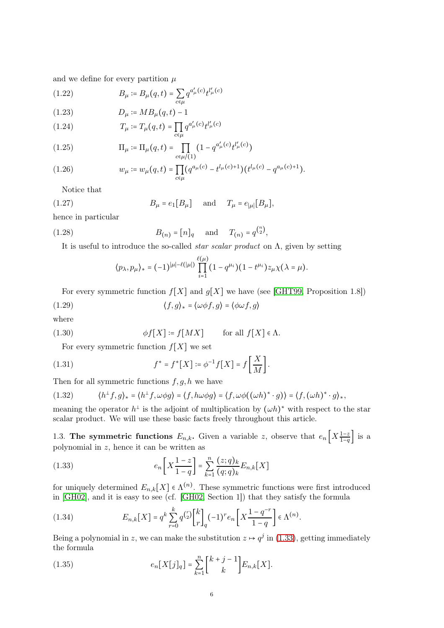and we define for every partition  $\mu$ 

(1.22) 
$$
B_{\mu} \coloneqq B_{\mu}(q, t) = \sum_{c \in \mu} q^{a'_{\mu}(c)} t^{\mu}(c)
$$

(1.23) 
$$
D_{\mu} = MB_{\mu}(q, t) - 1
$$

(1.24) 
$$
T_{\mu} \coloneqq T_{\mu}(q, t) = \prod_{c \in \mu} q^{a'_{\mu}(c)} t^{\mu}(c)
$$

(1.25) 
$$
\Pi_{\mu} \coloneqq \Pi_{\mu}(q,t) = \prod_{c \in \mu/(1)} (1 - q^{a'_{\mu}(c)} t^{\mu(c)})
$$

(1.26) 
$$
w_{\mu} \coloneqq w_{\mu}(q,t) = \prod_{c \in \mu} (q^{a_{\mu}(c)} - t^{l_{\mu}(c)+1}) (t^{l_{\mu}(c)} - q^{a_{\mu}(c)+1}).
$$

Notice that

(1.27) 
$$
B_{\mu} = e_1[B_{\mu}] \text{ and } T_{\mu} = e_{|\mu|}[B_{\mu}],
$$

hence in particular

(1.28) 
$$
B_{(n)} = [n]_q
$$
 and  $T_{(n)} = q^{\binom{n}{2}}$ ,

It is useful to introduce the so-called *star scalar product* on  $\Lambda$ , given by setting

<span id="page-5-3"></span>
$$
\langle p_{\lambda}, p_{\mu} \rangle_* = (-1)^{|\mu| - \ell(|\mu|)} \prod_{i=1}^{\ell(\mu)} (1 - q^{\mu_i})(1 - t^{\mu_i}) z_{\mu} \chi(\lambda = \mu).
$$

For every symmetric function  $f[X]$  and  $g[X]$  we have (see [\[GHT99,](#page-29-17) Proposition 1.8])

(1.29) 
$$
\langle f, g \rangle_* = \langle \omega \phi f, g \rangle = \langle \phi \omega f, g \rangle
$$

where

(1.30) 
$$
\phi f[X] \coloneqq f[MX] \quad \text{for all } f[X] \in \Lambda.
$$

For every symmetric function  $f[X]$  we set

(1.31) 
$$
f^* = f^* [X] := \phi^{-1} f [X] = f \left[ \frac{X}{M} \right].
$$

Then for all symmetric functions  $f, g, h$  we have

<span id="page-5-2"></span>(1.32) 
$$
\langle h^{\perp}f,g\rangle_* = \langle h^{\perp}f,\omega\phi g\rangle = \langle f,h\omega\phi g\rangle = \langle f,\omega\phi((\omega h)^*\cdot g)\rangle = \langle f,(\omega h)^*\cdot g\rangle_*,
$$

meaning the operator  $h^{\perp}$  is the adjoint of multiplication by  $(\omega h)^*$  with respect to the star scalar product. We will use these basic facts freely throughout this article.

<span id="page-5-0"></span>1.3. The symmetric functions  $E_{n,k}$ . Given a variable z, observe that  $e_n\left[X\frac{1-z}{1-q}\right]$  is a polynomial in z, hence it can be written as

<span id="page-5-1"></span>(1.33) 
$$
e_n \left[ X \frac{1-z}{1-q} \right] = \sum_{k=1}^n \frac{(z;q)_k}{(q;q)_k} E_{n,k}[X]
$$

for uniquely determined  $E_{n,k}[X] \in \Lambda^{(n)}$ . These symmetric functions were first introduced in [\[GH02\]](#page-29-18), and it is easy to see (cf. [\[GH02,](#page-29-18) Section 1]) that they satisfy the formula

<span id="page-5-4"></span>(1.34) 
$$
E_{n,k}[X] = q^k \sum_{r=0}^k q^{\binom{r}{2}} \binom{k}{r}_q (-1)^r e_n \left[ X \frac{1 - q^{-r}}{1 - q} \right] \in \Lambda^{(n)}.
$$

Being a polynomial in z, we can make the substitution  $z \mapsto q^j$  in [\(1.33\)](#page-5-1), getting immediately the formula

<span id="page-5-5"></span>(1.35) 
$$
e_n[X[j]_q] = \sum_{k=1}^n {k+j-1 \brack k} E_{n,k}[X].
$$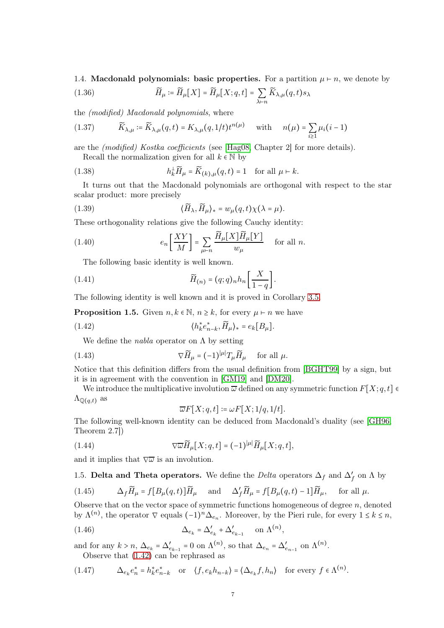<span id="page-6-0"></span>1.4. Macdonald polynomials: basic properties. For a partition  $\mu \vdash n$ , we denote by (1.36)  $\widetilde{H}_{\mu} \coloneqq \widetilde{H}_{\mu}[X] = \widetilde{H}_{\mu}[X; q, t] = \sum$  $\lambda \vdash n$  $\widetilde{K}_{\lambda,\mu}(q,t)s_\lambda$ 

the (modified) Macdonald polynomials, where

(1.37) 
$$
\widetilde{K}_{\lambda,\mu} \coloneqq \widetilde{K}_{\lambda,\mu}(q,t) = K_{\lambda,\mu}(q,1/t)t^{n(\mu)} \quad \text{with} \quad n(\mu) = \sum_{i \ge 1} \mu_i(i-1)
$$

are the (modified) Kostka coefficients (see [\[Hag08,](#page-29-16) Chapter 2] for more details). Recall the normalization given for all  $k \in \mathbb{N}$  by

(1.38) 
$$
h_k^{\perp} \widetilde{H}_{\mu} = \widetilde{K}_{(k),\mu}(q,t) = 1 \text{ for all } \mu \vdash k.
$$

It turns out that the Macdonald polynomials are orthogonal with respect to the star scalar product: more precisely

<span id="page-6-4"></span>(1.39) 
$$
\langle \widetilde{H}_{\lambda}, \widetilde{H}_{\mu} \rangle_* = w_{\mu}(q, t) \chi(\lambda = \mu).
$$

These orthogonality relations give the following Cauchy identity:

<span id="page-6-3"></span>(1.40) 
$$
e_n \left[ \frac{XY}{M} \right] = \sum_{\mu \vdash n} \frac{\widetilde{H}_{\mu}[X] \widetilde{H}_{\mu}[Y]}{w_{\mu}} \quad \text{for all } n.
$$

<span id="page-6-7"></span>The following basic identity is well known.

(1.41) 
$$
\widetilde{H}_{(n)} = (q;q)_n h_n \left[ \frac{X}{1-q} \right].
$$

The following identity is well known and it is proved in Corollary [3.5.](#page-11-2)

**Proposition 1.5.** Given  $n, k \in \mathbb{N}, n \geq k$ , for every  $\mu \vdash n$  we have

(1.42) 
$$
\langle h_k^* e_{n-k}^*, \widetilde{H}_\mu \rangle_* = e_k [B_\mu].
$$

We define the *nabla* operator on  $\Lambda$  by setting

(1.43) 
$$
\nabla \widetilde{H}_{\mu} = (-1)^{|\mu|} T_{\mu} \widetilde{H}_{\mu} \quad \text{for all } \mu.
$$

Notice that this definition differs from the usual definition from [\[BGHT99\]](#page-29-4) by a sign, but it is in agreement with the convention in [\[GM19\]](#page-29-14) and [\[DM20\]](#page-29-11).

We introduce the multiplicative involution  $\overline{\omega}$  defined on any symmetric function  $F[X; q, t]$  $\Lambda_{\mathbb{Q}(q,t)}$  as

<span id="page-6-8"></span><span id="page-6-2"></span>
$$
\overline{\omega}F[X;q,t]\coloneqq \omega F[X;1/q,1/t].
$$

The following well-known identity can be deduced from Macdonald's duality (see [\[GH96,](#page-29-3) Theorem 2.7])

(1.44) 
$$
\nabla \overline{\omega} \widetilde{H}_{\mu}[X;q,t] = (-1)^{|\mu|} \widetilde{H}_{\mu}[X;q,t],
$$

<span id="page-6-1"></span>and it implies that  $\nabla \overline{\omega}$  is an involution.

1.5. Delta and Theta operators. We define the *Delta* operators  $\Delta_f$  and  $\Delta'_f$  on  $\Lambda$  by

(1.45) 
$$
\Delta_f \widetilde{H}_{\mu} = f[B_{\mu}(q,t)] \widetilde{H}_{\mu} \quad \text{and} \quad \Delta'_f \widetilde{H}_{\mu} = f[B_{\mu}(q,t) - 1] \widetilde{H}_{\mu}, \quad \text{for all } \mu.
$$

Observe that on the vector space of symmetric functions homogeneous of degree  $n$ , denoted by  $\Lambda^{(n)}$ , the operator  $\nabla$  equals  $(-1)^n \Delta_{e_n}$ . Moreover, by the Pieri rule, for every  $1 \leq k \leq n$ ,

<span id="page-6-6"></span>(1.46) 
$$
\Delta_{e_k} = \Delta'_{e_k} + \Delta'_{e_{k-1}} \quad \text{on } \Lambda^{(n)},
$$

and for any  $k > n$ ,  $\Delta_{e_k} = \Delta'_{e_{k-1}} = 0$  on  $\Lambda^{(n)}$ , so that  $\Delta_{e_n} = \Delta'_{e_{n-1}}$  on  $\Lambda^{(n)}$ . Observe that [\(1.42\)](#page-6-2) can be rephrased as

<span id="page-6-5"></span>(1.47) 
$$
\Delta_{e_k} e_n^* = h_k^* e_{n-k}^* \quad \text{or} \quad \langle f, e_k h_{n-k} \rangle = \langle \Delta_{e_k} f, h_n \rangle \quad \text{for every } f \in \Lambda^{(n)}.
$$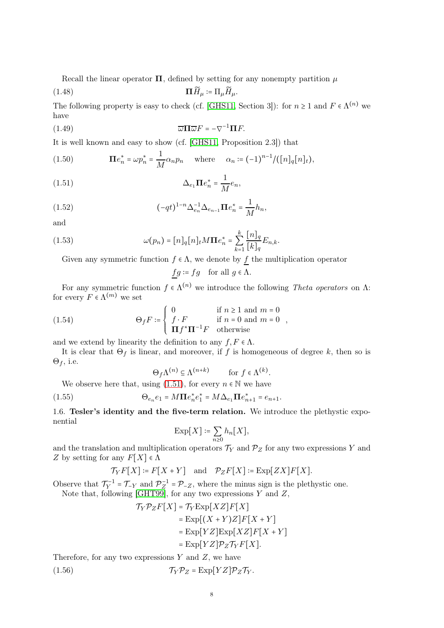Recall the linear operator  $\Pi$ , defined by setting for any nonempty partition  $\mu$ 

$$
(1.48)\qquad \qquad \Pi \widetilde{H}_{\mu} \coloneqq \Pi_{\mu} \widetilde{H}_{\mu}.
$$

The following property is easy to check (cf. [\[GHS11,](#page-29-19) Section 3]): for  $n \geq 1$  and  $F \in \Lambda^{(n)}$  we have

<span id="page-7-5"></span>(1.49) 
$$
\overline{\omega}\Pi\overline{\omega}F=-\nabla^{-1}\Pi F.
$$

It is well known and easy to show (cf. [\[GHS11,](#page-29-19) Proposition 2.3]) that

<span id="page-7-3"></span>(1.50) 
$$
\mathbf{\Pi}e_n^* = \omega p_n^* = \frac{1}{M} \alpha_n p_n \quad \text{where} \quad \alpha_n := (-1)^{n-1} / ([n]_q [n]_t),
$$

(1.51) 
$$
\Delta_{e_1} \mathbf{\Pi} e_n^* = \frac{1}{M} e_n,
$$

(1.52) 
$$
(-qt)^{1-n} \Delta_{e_n}^{-1} \Delta_{e_{n-1}} \Pi e_n^* = \frac{1}{M} h_n,
$$

and

(1.53) 
$$
\omega(p_n) = [n]_q [n]_t M \mathbf{\Pi} e_n^* = \sum_{k=1}^k \frac{[n]_q}{[k]_q} E_{n,k}.
$$

Given any symmetric function  $f \in \Lambda$ , we denote by f the multiplication operator

<span id="page-7-6"></span><span id="page-7-4"></span><span id="page-7-1"></span>
$$
\underline{fg}\coloneqq fg\quad\text{for all }g\in\Lambda.
$$

For any symmetric function  $f \in \Lambda^{(n)}$  we introduce the following Theta operators on  $\Lambda$ : for every  $F \in \Lambda^{(m)}$  we set

(1.54) 
$$
\Theta_f F \coloneqq \begin{cases} 0 & \text{if } n \ge 1 \text{ and } m = 0 \\ f \cdot F & \text{if } n = 0 \text{ and } m = 0 \\ \mathbf{\Pi} f^* \mathbf{\Pi}^{-1} F & \text{otherwise} \end{cases}
$$

and we extend by linearity the definition to any  $f, F \in \Lambda$ .

It is clear that  $\Theta_f$  is linear, and moreover, if f is homogeneous of degree k, then so is  $\Theta_f$ , i.e.

$$
\Theta_f \Lambda^{(n)} \subseteq \Lambda^{(n+k)} \qquad \text{for } f \in \Lambda^{(k)}.
$$

We observe here that, using [\(1.51\)](#page-7-1), for every  $n \in \mathbb{N}$  we have

<span id="page-7-0"></span>(1.55) 
$$
\Theta_{e_n} e_1 = M \Pi e_n^* e_1^* = M \Delta_{e_1} \Pi e_{n+1}^* = e_{n+1}.
$$

1.6. Tesler's identity and the five-term relation. We introduce the plethystic exponential

$$
\mathrm{Exp}[X]\coloneqq \sum_{n\geq 0} h_n[X],
$$

and the translation and multiplication operators  $\mathcal{T}_Y$  and  $\mathcal{P}_Z$  for any two expressions Y and Z by setting for any  $F[X] \in \Lambda$ 

$$
\mathcal{T}_Y F[X] \coloneqq F[X+Y] \quad \text{and} \quad \mathcal{P}_Z F[X] \coloneqq \operatorname{Exp}[ZX] F[X].
$$

Observe that  $\mathcal{T}_Y^{-1} = \mathcal{T}_{-Y}$  and  $\mathcal{P}_Z^{-1} = \mathcal{P}_{-Z}$ , where the minus sign is the plethystic one. Note that, following [\[GHT99\]](#page-29-17), for any two expressions  $Y$  and  $Z$ ,

<span id="page-7-2"></span>
$$
\mathcal{T}_Y \mathcal{P}_Z F[X] = \mathcal{T}_Y \text{Exp}[XZ] F[X]
$$
  
= 
$$
\text{Exp}[(X+Y)Z] F[X+Y]
$$
  
= 
$$
\text{Exp}[YZ] \text{Exp}[XZ] F[X+Y]
$$
  
= 
$$
\text{Exp}[YZ] \mathcal{P}_Z \mathcal{T}_Y F[X].
$$

Therefore, for any two expressions  $Y$  and  $Z$ , we have

(1.56) 
$$
\mathcal{T}_Y \mathcal{P}_Z = \text{Exp}[YZ] \mathcal{P}_Z \mathcal{T}_Y.
$$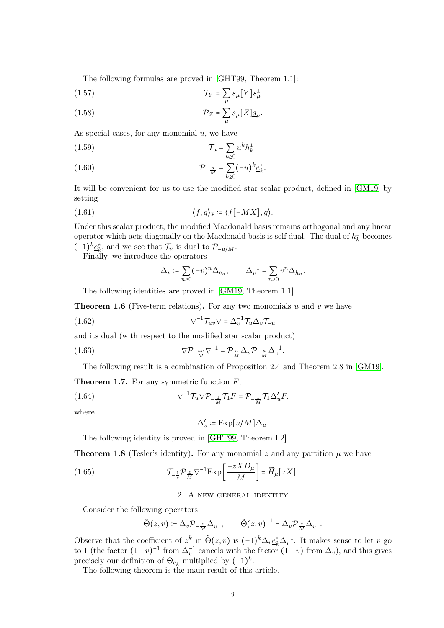The following formulas are proved in [\[GHT99,](#page-29-17) Theorem 1.1]:

$$
\mathcal{T}_Y = \sum_{\mu} s_{\mu} [Y] s_{\mu}^{\perp}
$$

(1.58) 
$$
\mathcal{P}_Z = \sum_{\mu} s_{\mu} [Z] \underline{s}_{\mu}.
$$

As special cases, for any monomial  $u$ , we have

$$
\mathcal{T}_u = \sum_{k \ge 0} u^k h_k^{\perp}
$$

$$
(1.60)\qquad \qquad \mathcal{P}_{-\frac{u}{M}} = \sum_{k\geq 0} (-u)^k \underline{e}_k^*.
$$

It will be convenient for us to use the modified star scalar product, defined in [\[GM19\]](#page-29-14) by setting

$$
(1.61) \t\t \langle f,g \rangle_{\bar{*}} \coloneqq \langle f[-MX], g \rangle.
$$

Under this scalar product, the modified Macdonald basis remains orthogonal and any linear operator which acts diagonally on the Macdonald basis is self dual. The dual of  $h_k^{\perp}$  becomes  $(-1)^k \underline{e}_k^*$ , and we see that  $\mathcal{T}_u$  is dual to  $\mathcal{P}_{-u/M}$ .

Finally, we introduce the operators

$$
\Delta_v \coloneqq \sum_{n \geq 0} (-v)^n \Delta_{e_n}, \qquad \Delta_v^{-1} = \sum_{n \geq 0} v^n \Delta_{h_n}.
$$

The following identities are proved in [\[GM19,](#page-29-14) Theorem 1.1].

**Theorem 1.6** (Five-term relations). For any two monomials u and v we have

<span id="page-8-4"></span>(1.62) 
$$
\nabla^{-1} \mathcal{T}_{uv} \nabla = \Delta_v^{-1} \mathcal{T}_u \Delta_v \mathcal{T}_{-u}
$$

and its dual (with respect to the modified star scalar product)

<span id="page-8-3"></span>(1.63) 
$$
\nabla \mathcal{P}_{-\frac{uv}{M}} \nabla^{-1} = \mathcal{P}_{\frac{u}{M}} \Delta_v \mathcal{P}_{-\frac{u}{M}} \Delta_v^{-1}.
$$

The following result is a combination of Proposition 2.4 and Theorem 2.8 in [\[GM19\]](#page-29-14).

**Theorem 1.7.** For any symmetric function 
$$
F
$$
,

(1.64) 
$$
\nabla^{-1} \mathcal{T}_u \nabla \mathcal{P}_{-\frac{1}{M}} \mathcal{T}_1 F = \mathcal{P}_{-\frac{1}{M}} \mathcal{T}_1 \Delta'_u F.
$$

where

<span id="page-8-2"></span>
$$
\Delta'_u \coloneqq \mathrm{Exp}\bigl[u/M]\Delta_u.
$$

The following identity is proved in [\[GHT99,](#page-29-17) Theorem I.2].

<span id="page-8-1"></span>**Theorem 1.8** (Tesler's identity). For any monomial z and any partition  $\mu$  we have

<span id="page-8-5"></span><span id="page-8-0"></span>(1.65) 
$$
\mathcal{T}_{-\frac{1}{z}} \mathcal{P}_{\frac{z}{M}} \nabla^{-1} \text{Exp}\left[\frac{-z X D_{\mu}}{M}\right] = \widetilde{H}_{\mu}[z X].
$$

# 2. A new general identity

Consider the following operators:

$$
\tilde{\Theta}(z,v) \coloneqq \Delta_v \mathcal{P}_{-\frac{z}{M}} \Delta_v^{-1}, \qquad \tilde{\Theta}(z,v)^{-1} = \Delta_v \mathcal{P}_{\frac{z}{M}} \Delta_v^{-1}.
$$

Observe that the coefficient of  $z^k$  in  $\tilde{\Theta}(z, v)$  is  $(-1)^k \Delta_v \underline{e}_k^* \Delta_v^{-1}$ . It makes sense to let v go to 1 (the factor  $(1-v)^{-1}$  from  $\Delta_v^{-1}$  cancels with the factor  $(1-v)$  from  $\Delta_v$ ), and this gives precisely our definition of  $\Theta_{e_k}$  multiplied by  $(-1)^k$ .

The following theorem is the main result of this article.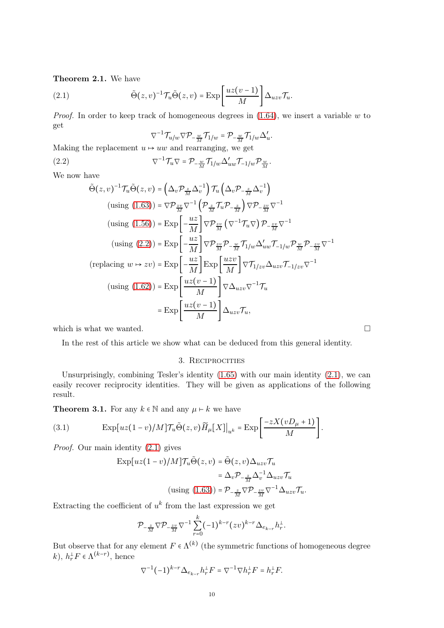### <span id="page-9-1"></span>Theorem 2.1. We have

(2.1) 
$$
\tilde{\Theta}(z,v)^{-1} \mathcal{T}_{u} \tilde{\Theta}(z,v) = \exp \left[\frac{uz(v-1)}{M}\right] \Delta_{uzv} \mathcal{T}_{u}.
$$

*Proof.* In order to keep track of homogeneous degrees in  $(1.64)$ , we insert a variable w to get

<span id="page-9-3"></span><span id="page-9-2"></span>
$$
\nabla^{-1}\mathcal{T}_{u/w}\nabla \mathcal{P}_{-\frac{w}{M}}\mathcal{T}_{1/w}=\mathcal{P}_{-\frac{w}{M}}\mathcal{T}_{1/w}\Delta'_{u}.
$$

Making the replacement  $u \mapsto uw$  and rearranging, we get

(2.2) 
$$
\nabla^{-1} \mathcal{T}_{u} \nabla = \mathcal{P}_{-\frac{w}{M}} \mathcal{T}_{1/w} \Delta'_{uw} \mathcal{T}_{-1/w} \mathcal{P}_{\frac{w}{M}}.
$$

We now have

$$
\tilde{\Theta}(z,v)^{-1}\mathcal{T}_{u}\tilde{\Theta}(z,v) = \left(\Delta_{v}\mathcal{P}_{\frac{z}{M}}\Delta_{v}^{-1}\right)\mathcal{T}_{u}\left(\Delta_{v}\mathcal{P}_{-\frac{z}{M}}\Delta_{v}^{-1}\right)
$$
\n
$$
\left(\text{using } (1.63)\right) = \nabla\mathcal{P}_{\frac{zv}{M}}\nabla^{-1}\left(\mathcal{P}_{\frac{z}{M}}\mathcal{T}_{u}\mathcal{P}_{-\frac{z}{M}}\right)\nabla\mathcal{P}_{-\frac{zv}{M}}\nabla^{-1}
$$
\n
$$
\left(\text{using } (1.56)\right) = \text{Exp}\left[-\frac{uz}{M}\right]\nabla\mathcal{P}_{\frac{zv}{M}}\left(\nabla^{-1}\mathcal{T}_{u}\nabla\right)\mathcal{P}_{-\frac{zv}{M}}\nabla^{-1}
$$
\n
$$
\left(\text{using } (2.2)\right) = \text{Exp}\left[-\frac{uz}{M}\right]\nabla\mathcal{P}_{\frac{zv}{M}}\mathcal{P}_{-\frac{w}{M}}\mathcal{T}_{1/w}\Delta'_{uw}\mathcal{T}_{-1/w}\mathcal{P}_{\frac{w}{M}}\mathcal{P}_{-\frac{zv}{M}}\nabla^{-1}
$$
\n
$$
\left(\text{replacing } w \mapsto zv\right) = \text{Exp}\left[-\frac{uz}{M}\right]\text{Exp}\left[\frac{uzv}{M}\right]\nabla\mathcal{T}_{1/zv}\Delta_{uzv}\mathcal{T}_{-1/zv}\nabla^{-1}
$$
\n
$$
\left(\text{using } (1.62)\right) = \text{Exp}\left[\frac{uz(v-1)}{M}\right]\nabla\Delta_{uzv}\nabla^{-1}\mathcal{T}_{u}
$$
\n
$$
= \text{Exp}\left[\frac{uz(v-1)}{M}\right]\Delta_{uzv}\mathcal{T}_{u},
$$

which is what we wanted.  $\square$ 

<span id="page-9-0"></span>In the rest of this article we show what can be deduced from this general identity.

#### 3. RECIPROCITIES

Unsurprisingly, combining Tesler's identity [\(1.65\)](#page-8-5) with our main identity [\(2.1\)](#page-9-3), we can easily recover reciprocity identities. They will be given as applications of the following result.

**Theorem 3.1.** For any  $k \in \mathbb{N}$  and any  $\mu \vdash k$  we have

(3.1) 
$$
\operatorname{Exp}[uz(1-v)/M] \mathcal{T}_u \tilde{\Theta}(z,v) \widetilde{H}_\mu[X]|_{u^k} = \operatorname{Exp}\left[\frac{-zX(vD_\mu+1)}{M}\right].
$$

Proof. Our main identity [\(2.1\)](#page-9-3) gives

<span id="page-9-4"></span>
$$
\begin{aligned} \exp[uz(1-v)/M]\mathcal{T}_u \tilde{\Theta}(z,v) &= \tilde{\Theta}(z,v)\Delta_{uzv}\mathcal{T}_u \\ &= \Delta_v \mathcal{P}_{-\frac{z}{M}}\Delta_v^{-1}\Delta_{uzv}\mathcal{T}_u \\ \text{(using (1.63))} &= \mathcal{P}_{-\frac{z}{M}}\nabla \mathcal{P}_{-\frac{zv}{M}}\nabla^{-1}\Delta_{uzv}\mathcal{T}_u. \end{aligned}
$$

Extracting the coefficient of  $u^k$  from the last expression we get

$$
\mathcal{P}_{-\frac{z}{M}}\nabla \mathcal{P}_{-\frac{zv}{M}}\nabla^{-1}\sum_{r=0}^{k}(-1)^{k-r}(zv)^{k-r}\Delta_{e_{k-r}}h_r^{\perp}.
$$

But observe that for any element  $F \in \Lambda^{(k)}$  (the symmetric functions of homogeneous degree  $k$ ,  $h_r^{\perp}F \in \Lambda^{(k-r)}$ , hence

$$
\nabla^{-1}(-1)^{k-r}\Delta_{e_{k-r}}h_r^{\perp}F=\nabla^{-1}\nabla h_r^{\perp}F=h_r^{\perp}F.
$$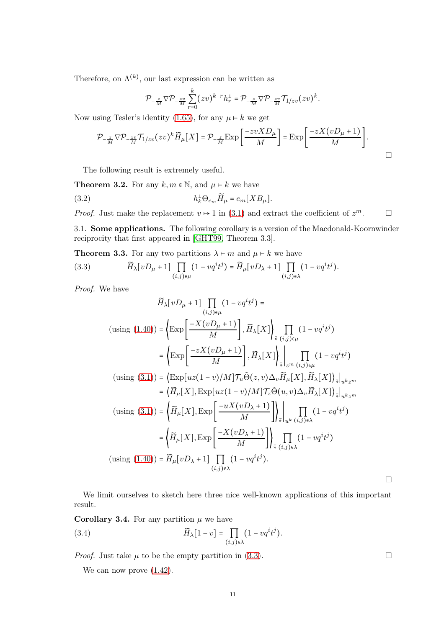Therefore, on  $\Lambda^{(k)}$ , our last expression can be written as

$$
\mathcal{P}_{-\frac{z}{M}}\nabla \mathcal{P}_{-\frac{zv}{M}}\sum_{r=0}^k (zv)^{k-r}h_r^{\perp} = \mathcal{P}_{-\frac{z}{M}}\nabla \mathcal{P}_{-\frac{zv}{M}}\mathcal{T}_{1/zv}(zv)^k.
$$

Now using Tesler's identity [\(1.65\)](#page-8-5), for any  $\mu \vdash k$  we get

$$
\mathcal{P}_{-\frac{z}{M}}\nabla\mathcal{P}_{-\frac{zv}{M}}\mathcal{T}_{1/zv}(zv)^k\widetilde{H}_{\mu}[X] = \mathcal{P}_{-\frac{z}{M}}\exp\left[\frac{-zvXD_{\mu}}{M}\right] = \exp\left[\frac{-zX(vD_{\mu}+1)}{M}\right].
$$

<span id="page-10-4"></span>The following result is extremely useful.

<span id="page-10-1"></span>**Theorem 3.2.** For any  $k, m \in \mathbb{N}$ , and  $\mu \vdash k$  we have

(3.2) 
$$
h_k^{\perp} \Theta_{e_m} \widetilde{H}_{\mu} = e_m [XB_{\mu}].
$$

<span id="page-10-0"></span>*Proof.* Just make the replacement  $v \mapsto 1$  in [\(3.1\)](#page-9-4) and extract the coefficient of  $z^m$ .

3.1. Some applications. The following corollary is a version of the Macdonald-Koornwinder reciprocity that first appeared in [\[GHT99,](#page-29-17) Theorem 3.3].

**Theorem 3.3.** For any two partitions  $\lambda \vdash m$  and  $\mu \vdash k$  we have

(3.3) 
$$
\widetilde{H}_{\lambda}[vD_{\mu}+1]\prod_{(i,j)\in\mu}(1-vq^{i}t^{j})=\widetilde{H}_{\mu}[vD_{\lambda}+1]\prod_{(i,j)\in\lambda}(1-vq^{i}t^{j}).
$$

Proof. We have

<span id="page-10-2"></span>
$$
\widetilde{H}_{\lambda}[vD_{\mu}+1]\prod_{(i,j)\in\mu}(1-vq^{i}t^{j}) =
$$
\n
$$
\text{(using (1.40))} = \left\{\text{Exp}\left[\frac{-X(vD_{\mu}+1)}{M}\right], \widetilde{H}_{\lambda}[X]\right\}_{\tilde{\star}}\prod_{(i,j)\in\mu}(1-vq^{i}t^{j})
$$
\n
$$
= \left\{\text{Exp}\left[\frac{-zX(vD_{\mu}+1)}{M}\right], \widetilde{H}_{\lambda}[X]\right\}_{\tilde{\star}}\prod_{(i,j)\in\mu}(1-vq^{i}t^{j})
$$
\n
$$
\text{(using (3.1))} = \left\{\text{Exp}[uz(1-v)/M]\mathcal{T}_{u}\tilde{\Theta}(z,v)\Delta_{v}\widetilde{H}_{\mu}[X], \widetilde{H}_{\lambda}[X]\right\}_{\tilde{\star}}\Big|_{u^{k}z^{m}}
$$
\n
$$
= \left\{\widetilde{H}_{\mu}[X], \text{Exp}[uz(1-v)/M]\mathcal{T}_{z}\tilde{\Theta}(u,v)\Delta_{v}\widetilde{H}_{\lambda}[X]\right\}_{\tilde{\star}}\Big|_{u^{k}z^{m}}
$$
\n
$$
\text{(using (3.1))} = \left\{\widetilde{H}_{\mu}[X], \text{Exp}\left[\frac{-uX(vD_{\lambda}+1)}{M}\right]\right\}_{\tilde{\star}}\Big|_{u^{k}(i,j)\in\lambda}(1-vq^{i}t^{j})
$$
\n
$$
= \left\{\widetilde{H}_{\mu}[X], \text{Exp}\left[\frac{-X(vD_{\lambda}+1)}{M}\right]\right\}_{\tilde{\star}}\prod_{(i,j)\in\lambda}(1-vq^{i}t^{j})
$$
\n
$$
\text{(using (1.40))} = \widetilde{H}_{\mu}[vD_{\lambda}+1]\prod_{(i,j)\in\lambda}(1-vq^{i}t^{j}).
$$

We limit ourselves to sketch here three nice well-known applications of this important result.

 $\Box$ 

**Corollary 3.4.** For any partition  $\mu$  we have (3.4)  $\widetilde{H}_{\lambda}[1-v] = \prod$  $(i,j)$ ∈ $\lambda$  $(1-vq^it^j).$ 

*Proof.* Just take  $\mu$  to be the empty partition in [\(3.3\)](#page-10-2).

<span id="page-10-3"></span>We can now prove  $(1.42)$ .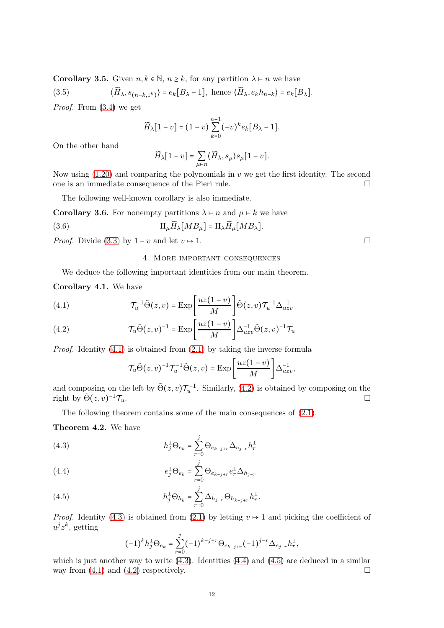<span id="page-11-2"></span>**Corollary 3.5.** Given  $n, k \in \mathbb{N}$ ,  $n \geq k$ , for any partition  $\lambda \vdash n$  we have

(3.5) 
$$
\langle \widetilde{H}_{\lambda}, s_{(n-k,1^k)} \rangle = e_k[B_{\lambda} - 1], \text{ hence } \langle \widetilde{H}_{\lambda}, e_k h_{n-k} \rangle = e_k[B_{\lambda}].
$$

Proof. From [\(3.4\)](#page-10-3) we get

$$
\widetilde{H}_{\lambda}[1-v] = (1-v) \sum_{k=0}^{n-1} (-v)^{k} e_{k}[B_{\lambda} - 1].
$$

On the other hand

$$
\widetilde{H}_{\lambda}[1-v] = \sum_{\mu \vdash n} \langle \widetilde{H}_{\lambda}, s_{\mu} \rangle s_{\mu}[1-v].
$$

Now using  $(1.20)$  and comparing the polynomials in v we get the first identity. The second one is an immediate consequence of the Pieri rule.  $\Box$ 

The following well-known corollary is also immediate.

**Corollary 3.6.** For nonempty partitions  $\lambda \vdash n$  and  $\mu \vdash k$  we have

(3.6) 
$$
\Pi_{\mu} \widetilde{H}_{\lambda}[MB_{\mu}] = \Pi_{\lambda} \widetilde{H}_{\mu}[MB_{\lambda}].
$$

<span id="page-11-0"></span>*Proof.* Divide [\(3.3\)](#page-10-2) by  $1 - v$  and let  $v \mapsto 1$ .

## 4. More important consequences

We deduce the following important identities from our main theorem.

Corollary 4.1. We have

<span id="page-11-3"></span>(4.1) 
$$
\mathcal{T}_u^{-1} \tilde{\Theta}(z, v) = \exp \left[\frac{uz(1-v)}{M}\right] \tilde{\Theta}(z, v) \mathcal{T}_u^{-1} \Delta_{uzv}^{-1}
$$

<span id="page-11-4"></span>(4.2) 
$$
\mathcal{T}_{u}\tilde{\Theta}(z,v)^{-1} = \text{Exp}\left[\frac{uz(1-v)}{M}\right]\Delta_{uzv}^{-1}\tilde{\Theta}(z,v)^{-1}\mathcal{T}_{u}
$$

*Proof.* Identity  $(4.1)$  is obtained from  $(2.1)$  by taking the inverse formula

$$
\mathcal{T}_{u}\tilde{\Theta}(z,v)^{-1}\mathcal{T}_{u}^{-1}\tilde{\Theta}(z,v)=\mathrm{Exp}\left[\frac{uz(1-v)}{M}\right]\Delta_{uzv}^{-1},\,
$$

and composing on the left by  $\tilde{\Theta}(z,v)\mathcal{T}_u^{-1}$ . Similarly, [\(4.2\)](#page-11-4) is obtained by composing on the right by  $\tilde{\Theta}(z, v)^{-1} \mathcal{T}_u$ .  $^{-1}$ T<sub>u</sub>.

The following theorem contains some of the main consequences of [\(2.1\)](#page-9-3).

<span id="page-11-1"></span>Theorem 4.2. We have

<span id="page-11-5"></span>(4.3) 
$$
h_j^{\perp} \Theta_{e_k} = \sum_{r=0}^{j} \Theta_{e_{k-j+r}} \Delta_{e_{j-r}} h_r^{\perp}
$$

<span id="page-11-6"></span>(4.4) 
$$
e_j^{\perp} \Theta_{e_k} = \sum_{r=0}^j \Theta_{e_{k-j+r}} e_r^{\perp} \Delta_{h_{j-r}}
$$

<span id="page-11-7"></span>(4.5) 
$$
h_j^{\perp} \Theta_{h_k} = \sum_{r=0}^{j} \Delta_{h_{j-r}} \Theta_{h_{k-j+r}} h_r^{\perp}.
$$

*Proof.* Identity [\(4.3\)](#page-11-5) is obtained from [\(2.1\)](#page-9-3) by letting  $v \mapsto 1$  and picking the coefficient of  $u^j z^k$ , getting

$$
(-1)^{k}h_{j}^{\perp}\Theta_{e_{k}}=\sum_{r=0}^{j}(-1)^{k-j+r}\Theta_{e_{k-j+r}}(-1)^{j-r}\Delta_{e_{j-r}}h_{r}^{\perp},
$$

which is just another way to write  $(4.3)$ . Identities  $(4.4)$  and  $(4.5)$  are deduced in a similar way from  $(4.1)$  and  $(4.2)$  respectively.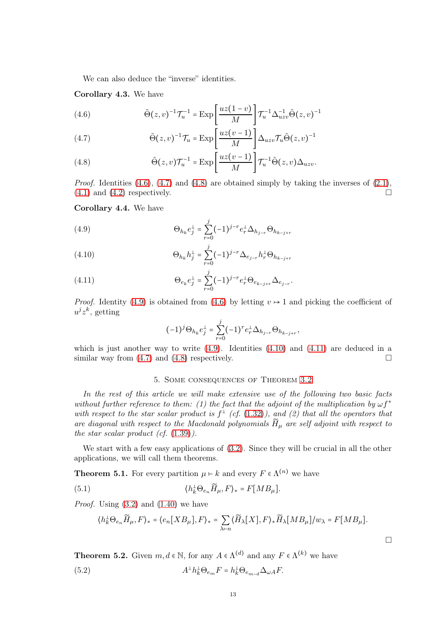We can also deduce the "inverse" identities.

Corollary 4.3. We have

<span id="page-12-3"></span>(4.6) 
$$
\tilde{\Theta}(z,v)^{-1} \mathcal{T}_{u}^{-1} = \text{Exp}\left[\frac{uz(1-v)}{M}\right] \mathcal{T}_{u}^{-1} \Delta_{uzv}^{-1} \tilde{\Theta}(z,v)^{-1}
$$

<span id="page-12-4"></span>(4.7) 
$$
\tilde{\Theta}(z,v)^{-1}\mathcal{T}_u = \text{Exp}\left[\frac{uz(v-1)}{M}\right]\Delta_{uzv}\mathcal{T}_u\tilde{\Theta}(z,v)^{-1}
$$

<span id="page-12-5"></span>(4.8) 
$$
\tilde{\Theta}(z,v)\mathcal{T}_{u}^{-1} = \text{Exp}\left[\frac{uz(v-1)}{M}\right]\mathcal{T}_{u}^{-1}\tilde{\Theta}(z,v)\Delta_{uzv}.
$$

*Proof.* Identities  $(4.6)$ ,  $(4.7)$  and  $(4.8)$  are obtained simply by taking the inverses of  $(2.1)$ ,  $(4.1)$  and  $(4.2)$  respectively.

<span id="page-12-1"></span>Corollary 4.4. We have

<span id="page-12-6"></span>(4.9) 
$$
\Theta_{h_k} e_j^{\perp} = \sum_{r=0}^j (-1)^{j-r} e_r^{\perp} \Delta_{h_{j-r}} \Theta_{h_{k-j+r}}
$$

<span id="page-12-7"></span>(4.10) 
$$
\Theta_{h_k} h_j^{\perp} = \sum_{r=0}^j (-1)^{j-r} \Delta_{e_{j-r}} h_r^{\perp} \Theta_{h_{k-j+r}}
$$

<span id="page-12-8"></span>(4.11) 
$$
\Theta_{e_k} e_j^{\perp} = \sum_{r=0}^j (-1)^{j-r} e_r^{\perp} \Theta_{e_{k-j+r}} \Delta_{e_{j-r}}.
$$

*Proof.* Identity [\(4.9\)](#page-12-6) is obtained from [\(4.6\)](#page-12-3) by letting  $v \mapsto 1$  and picking the coefficient of  $u^j z^k$ , getting

$$
(-1)^{j} \Theta_{h_k} e_j^{\perp} = \sum_{r=0}^{j} (-1)^{r} e_r^{\perp} \Delta_{h_{j-r}} \Theta_{h_{k-j+r}},
$$

<span id="page-12-0"></span>which is just another way to write  $(4.9)$ . Identities  $(4.10)$  and  $(4.11)$  are deduced in a similar way from  $(4.7)$  and  $(4.8)$  respectively.

# 5. Some consequences of Theorem [3.2](#page-10-1)

In the rest of this article we will make extensive use of the following two basic facts without further reference to them: (1) the fact that the adjoint of the multiplication by  $\omega f^*$ with respect to the star scalar product is  $f^{\perp}$  (cf. [\(1.32\)](#page-5-2)), and (2) that all the operators that are diagonal with respect to the Macdonald polynomials  $\widetilde{H}_\mu$  are self adjoint with respect to the star scalar product (cf.  $(1.39)$ ).

We start with a few easy applications of [\(3.2\)](#page-10-4). Since they will be crucial in all the other applications, we will call them theorems.

<span id="page-12-2"></span>**Theorem 5.1.** For every partition  $\mu \vdash k$  and every  $F \in \Lambda^{(n)}$  we have

(5.1) 
$$
\langle h_k^{\perp} \Theta_{e_n} \widetilde{H}_{\mu}, F \rangle_* = F[M B_{\mu}].
$$

*Proof.* Using  $(3.2)$  and  $(1.40)$  we have

<span id="page-12-10"></span><span id="page-12-9"></span>
$$
\langle h_k^{\perp} \Theta_{e_n} \widetilde{H}_{\mu}, F \rangle_* = \langle e_n[X B_{\mu}], F \rangle_* = \sum_{\lambda \vdash n} \langle \widetilde{H}_{\lambda}[X], F \rangle_* \widetilde{H}_{\lambda}[MB_{\mu}] / w_{\lambda} = F[MB_{\mu}].
$$

 $\Box$ 

**Theorem 5.2.** Given  $m, d \in \mathbb{N}$ , for any  $A \in \Lambda^{(d)}$  and any  $F \in \Lambda^{(k)}$  we have

(5.2) 
$$
A^{\perp}h_k^{\perp}\Theta_{e_m}F = h_k^{\perp}\Theta_{e_{m-d}}\Delta_{\omega A}F.
$$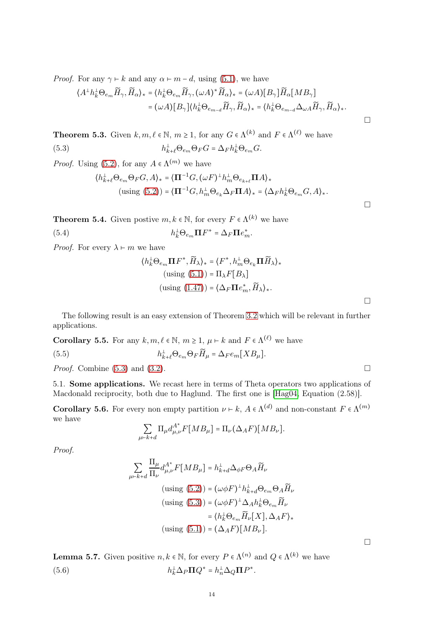*Proof.* For any  $\gamma \vdash k$  and any  $\alpha \vdash m-d$ , using [\(5.1\)](#page-12-9), we have

$$
\langle A^{\perp}h_{k}^{\perp}\Theta_{e_{m}}\widetilde{H}_{\gamma},\widetilde{H}_{\alpha}\rangle_{*} = \langle h_{k}^{\perp}\Theta_{e_{m}}\widetilde{H}_{\gamma},(\omega A)^{*}\widetilde{H}_{\alpha}\rangle_{*} = (\omega A)[B_{\gamma}]\widetilde{H}_{\alpha}[MB_{\gamma}]
$$

$$
= (\omega A)[B_{\gamma}]\langle h_{k}^{\perp}\Theta_{e_{m-d}}\widetilde{H}_{\gamma},\widetilde{H}_{\alpha}\rangle_{*} = \langle h_{k}^{\perp}\Theta_{e_{m-d}}\Delta_{\omega A}\widetilde{H}_{\gamma},\widetilde{H}_{\alpha}\rangle_{*}.
$$

**Theorem 5.3.** Given  $k, m, \ell \in \mathbb{N}$ ,  $m \ge 1$ , for any  $G \in \Lambda^{(k)}$  and  $F \in \Lambda^{(\ell)}$  we have  $(5.3)$  ${}_{k+\ell}^{\perp} \Theta_{e_m} \Theta_F G = \Delta_F h_k^{\perp} \Theta_{e_m} G.$ 

*Proof.* Using [\(5.2\)](#page-12-10), for any  $A \in \Lambda^{(m)}$  we have

<span id="page-13-1"></span>
$$
\label{eq:2} \begin{aligned} \langle h_{k+\ell}^\perp \Theta_{e_m} \Theta_F G, A \rangle_* &= \langle \mathbf{\Pi}^{-1} G, (\omega F)^\perp h_m^\perp \Theta_{e_{k+\ell}} \mathbf{\Pi} A \rangle_* \\ &\text{(using (5.2))} = \langle \mathbf{\Pi}^{-1} G, h_m^\perp \Theta_{e_k} \Delta_F \mathbf{\Pi} A \rangle_* = \langle \Delta_F h_k^\perp \Theta_{e_m} G, A \rangle_*. \end{aligned}
$$

**Theorem 5.4.** Given postive  $m, k \in \mathbb{N}$ , for every  $F \in \Lambda^{(k)}$  we have

(5.4) 
$$
h_k^{\perp} \Theta_{e_m} \mathbf{\Pi} F^* = \Delta_F \mathbf{\Pi} e_m^*.
$$

*Proof.* For every  $\lambda \vdash m$  we have

<span id="page-13-3"></span>
$$
\langle h_k^{\perp} \Theta_{e_m} \mathbf{\Pi} F^*, \widetilde{H}_{\lambda} \rangle_* = \langle F^*, h_m^{\perp} \Theta_{e_k} \mathbf{\Pi} \widetilde{H}_{\lambda} \rangle_*
$$
  
(using (5.1)) =  $\Pi_{\lambda} F[B_{\lambda}]$   
(using (1.47)) =  $\langle \Delta_F \mathbf{\Pi} e_m^*, \widetilde{H}_{\lambda} \rangle_*$ .

The following result is an easy extension of Theorem [3.2](#page-10-1) which will be relevant in further applications.

**Corollary 5.5.** For any  $k, m, \ell \in \mathbb{N}$ ,  $m \ge 1$ ,  $\mu \vdash k$  and  $F \in \Lambda^{(\ell)}$  we have

 $(5.5)$  ${}_{k+\ell}^{\perp} \Theta_{e_m} \Theta_F \widetilde{H}_{\mu} = \Delta_F e_m [XB_{\mu}].$ 

<span id="page-13-0"></span>*Proof.* Combine  $(5.3)$  and  $(3.2)$ .

5.1. Some applications. We recast here in terms of Theta operators two applications of Macdonald reciprocity, both due to Haglund. The first one is [\[Hag04,](#page-29-20) Equation (2.58)].

**Corollary 5.6.** For every non empty partition  $\nu \vdash k$ ,  $A \in \Lambda^{(d)}$  and non-constant  $F \in \Lambda^{(m)}$ we have

<span id="page-13-4"></span>
$$
\sum_{\mu \vdash k + d} \Pi_{\mu} d_{\mu, \nu}^{A^*} F[M B_{\mu}] = \Pi_{\nu} (\Delta_A F)[MB_{\nu}].
$$

Proof.

<span id="page-13-2"></span>
$$
\sum_{\mu \vdash k+d} \frac{\Pi_{\mu}}{\Pi_{\nu}} d_{\mu,\nu}^{A^*} F[MB_{\mu}] = h_{k+d}^{\perp} \Delta_{\phi F} \Theta_A \widetilde{H}_{\nu}
$$
\n
$$
\text{(using (5.2))} = (\omega \phi F)^{\perp} h_{k+d}^{\perp} \Theta_{e_m} \Theta_A \widetilde{H}_{\nu}
$$
\n
$$
\text{(using (5.3))} = (\omega \phi F)^{\perp} \Delta_A h_k^{\perp} \Theta_{e_m} \widetilde{H}_{\nu}
$$
\n
$$
= \langle h_k^{\perp} \Theta_{e_m} \widetilde{H}_{\nu}[X], \Delta_A F \rangle_*
$$
\n
$$
\text{(using (5.1))} = (\Delta_A F)[MB_{\nu}].
$$

**Lemma 5.7.** Given positive  $n, k \in \mathbb{N}$ , for every  $P \in \Lambda^{(n)}$  and  $Q \in \Lambda^{(k)}$  we have  $(5.6)$  ${}^{\perp}_{k}\Delta_{P}\mathbf{\Pi}Q^* = h^{\perp}_n\Delta_{Q}\mathbf{\Pi}P^*.$ 

 $\Box$ 

 $\Box$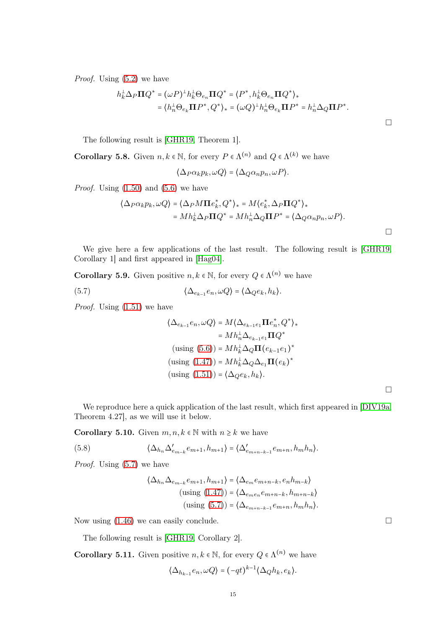Proof. Using [\(5.2\)](#page-12-10) we have

$$
h_k^{\perp} \Delta_P \mathbf{\Pi} Q^* = (\omega P)^{\perp} h_k^{\perp} \Theta_{e_n} \mathbf{\Pi} Q^* = \langle P^*, h_k^{\perp} \Theta_{e_n} \mathbf{\Pi} Q^* \rangle_*
$$
  
=  $\langle h_n^{\perp} \Theta_{e_k} \mathbf{\Pi} P^*, Q^* \rangle_* = (\omega Q)^{\perp} h_n^{\perp} \Theta_{e_k} \mathbf{\Pi} P^* = h_n^{\perp} \Delta_Q \mathbf{\Pi} P^*.$ 

The following result is [\[GHR19,](#page-29-21) Theorem 1].

**Corollary 5.8.** Given  $n, k \in \mathbb{N}$ , for every  $P \in \Lambda^{(n)}$  and  $Q \in \Lambda^{(k)}$  we have

$$
\langle \Delta_P \alpha_k p_k, \omega Q \rangle = \langle \Delta_Q \alpha_n p_n, \omega P \rangle.
$$

*Proof.* Using  $(1.50)$  and  $(5.6)$  we have

$$
\langle \Delta_P \alpha_k p_k, \omega Q \rangle = \langle \Delta_P M \Pi e_k^*, Q^* \rangle_* = M \langle e_k^*, \Delta_P \Pi Q^* \rangle_*
$$
  
=  $M h_k^{\perp} \Delta_P \Pi Q^* = M h_n^{\perp} \Delta_Q \Pi P^* = \langle \Delta_Q \alpha_n p_n, \omega P \rangle.$ 

 $\Box$ 

We give here a few applications of the last result. The following result is [\[GHR19,](#page-29-21) Corollary 1] and first appeared in [\[Hag04\]](#page-29-20).

**Corollary 5.9.** Given positive  $n, k \in \mathbb{N}$ , for every  $Q \in \Lambda^{(n)}$  we have

(5.7) 
$$
\langle \Delta_{e_{k-1}} e_n, \omega Q \rangle = \langle \Delta_Q e_k, h_k \rangle.
$$

*Proof.* Using  $(1.51)$  we have

<span id="page-14-0"></span>
$$
\langle \Delta_{e_{k-1}}e_n, \omega Q \rangle = M \langle \Delta_{e_{k-1}e_1} \Pi e_n^*, Q^* \rangle_*
$$
  
=  $M h_n^{\perp} \Delta_{e_{k-1}e_1} \Pi Q^*$   
(using (5.6)) =  $M h_k^{\perp} \Delta_Q \Pi (e_{k-1}e_1)^*$   
(using (1.47)) =  $M h_k^{\perp} \Delta_Q \Delta_{e_1} \Pi (e_k)^*$   
(using (1.51)) =  $\langle \Delta_Q e_k, h_k \rangle$ .

 $\Box$ 

We reproduce here a quick application of the last result, which first appeared in [\[DIV19a,](#page-29-13) Theorem 4.27], as we will use it below.

**Corollary 5.10.** Given  $m, n, k \in \mathbb{N}$  with  $n \geq k$  we have

(5.8) 
$$
\langle \Delta_{h_n} \Delta_{e_{m-k}}' e_{m+1}, h_{m+1} \rangle = \langle \Delta_{e_{m+n-k-1}}' e_{m+n}, h_m h_n \rangle.
$$

Proof. Using  $(5.7)$  we have

<span id="page-14-1"></span>
$$
\langle \Delta_{h_n} \Delta_{e_{m-k}} e_{m+1}, h_{m+1} \rangle = \langle \Delta_{e_m} e_{m+n-k}, e_n h_{m-k} \rangle
$$
  
(using (1.47)) =  $\langle \Delta_{e_m e_n} e_{m+n-k}, h_{m+n-k} \rangle$   
(using (5.7)) =  $\langle \Delta_{e_{m+n-k-1}} e_{m+n}, h_m h_n \rangle$ .

Now using  $(1.46)$  we can easily conclude.

The following result is [\[GHR19,](#page-29-21) Corollary 2].

**Corollary 5.11.** Given positive  $n, k \in \mathbb{N}$ , for every  $Q \in \Lambda^{(n)}$  we have

$$
\langle \Delta_{h_{k-1}} e_n, \omega Q \rangle = (-qt)^{k-1} \langle \Delta_Q h_k, e_k \rangle.
$$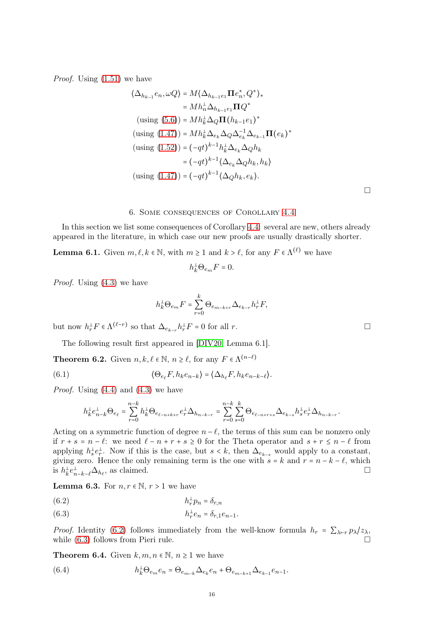Proof. Using [\(1.51\)](#page-7-1) we have

$$
\langle \Delta_{h_{k-1}}e_n, \omega Q \rangle = M \langle \Delta_{h_{k-1}e_1} \Pi e_n^*, Q^* \rangle_*
$$
  
\n
$$
= M h_n^{\perp} \Delta_{h_{k-1}e_1} \Pi Q^*
$$
  
\n(sing (5.6)) =  $M h_k^{\perp} \Delta_Q \Pi (h_{k-1}e_1)^*$   
\n(sing (1.47)) =  $M h_k^{\perp} \Delta_{e_k} \Delta_Q \Delta_{e_k}^{-1} \Delta_{e_{k-1}} \Pi (e_k)^*$   
\n(sing (1.52)) =  $(-qt)^{k-1} h_k^{\perp} \Delta_{e_k} \Delta_Q h_k$   
\n
$$
= (-qt)^{k-1} \langle \Delta_{e_k} \Delta_Q h_k, h_k \rangle
$$
  
\n(sing (1.47)) =  $(-qt)^{k-1} \langle \Delta_Q h_k, e_k \rangle$ .

#### 6. Some consequences of Corollary [4.4](#page-12-1)

<span id="page-15-0"></span>In this section we list some consequences of Corollary [4.4:](#page-12-1) several are new, others already appeared in the literature, in which case our new proofs are usually drastically shorter.

<span id="page-15-5"></span>**Lemma 6.1.** Given  $m, \ell, k \in \mathbb{N}$ , with  $m \ge 1$  and  $k > \ell$ , for any  $F \in \Lambda^{(\ell)}$  we have

$$
h_k^{\perp} \Theta_{e_m} F = 0.
$$

Proof. Using [\(4.3\)](#page-11-5) we have

$$
h_k^{\perp} \Theta_{e_m} F = \sum_{r=0}^{k} \Theta_{e_{m-k+r}} \Delta_{e_{k-r}} h_r^{\perp} F,
$$

but now  $h_r^{\perp} F \in \Lambda^{(\ell-r)}$  so that  $\Delta_{e_{k-r}} h_r^{\perp} F = 0$  for all r.

The following result first appeared in [\[DIV20,](#page-29-0) Lemma 6.1].

**Theorem 6.2.** Given  $n, k, \ell \in \mathbb{N}$ ,  $n \geq \ell$ , for any  $F \in \Lambda^{(n-\ell)}$ 

(6.1) 
$$
\langle \Theta_{e_{\ell}} F, h_k e_{n-k} \rangle = \langle \Delta_{h_{\ell}} F, h_k e_{n-k-\ell} \rangle.
$$

*Proof.* Using  $(4.4)$  and  $(4.3)$  we have

<span id="page-15-4"></span>
$$
h_k^{\perp} e_{n-k}^{\perp} \Theta_{e_{\ell}} = \sum_{r=0}^{n-k} h_k^{\perp} \Theta_{e_{\ell-n+k+r}} e_r^{\perp} \Delta_{h_{n-k-r}} = \sum_{r=0}^{n-k} \sum_{s=0}^{k} \Theta_{e_{\ell-n+r+s}} \Delta_{e_{k-s}} h_s^{\perp} e_r^{\perp} \Delta_{h_{n-k-r}}.
$$

Acting on a symmetric function of degree  $n - \ell$ , the terms of this sum can be nonzero only if  $r + s = n - \ell$ : we need  $\ell - n + r + s \ge 0$  for the Theta operator and  $s + r \le n - \ell$  from applying  $h_s^{\perp}e_r^{\perp}$ . Now if this is the case, but  $s < k$ , then  $\Delta_{e_{k-s}}$  would apply to a constant, giving zero. Hence the only remaining term is the one with  $s = k$  and  $r = n - k - \ell$ , which is  $h_k^{\perp} e_{n-k-\ell}^{\perp} \Delta_{h_\ell}$ , as claimed.

**Lemma 6.3.** For  $n, r \in \mathbb{N}, r > 1$  we have

<span id="page-15-1"></span>h ⊥ r (6.2) p<sup>n</sup> = δr,n

<span id="page-15-2"></span>(6.3) 
$$
h_r^{\perp} e_n = \delta_{r,1} e_{n-1}.
$$

*Proof.* Identity [\(6.2\)](#page-15-1) follows immediately from the well-know formula  $h_r = \sum_{\lambda \vdash r} p_{\lambda}/z_{\lambda}$ , while  $(6.3)$  follows from Pieri rule.

**Theorem 6.4.** Given  $k, m, n \in \mathbb{N}, n \geq 1$  we have

<span id="page-15-3"></span>(6.4) 
$$
h_k^{\perp} \Theta_{e_m} e_n = \Theta_{e_{m-k}} \Delta_{e_k} e_n + \Theta_{e_{m-k+1}} \Delta_{e_{k-1}} e_{n-1}.
$$

 $\Box$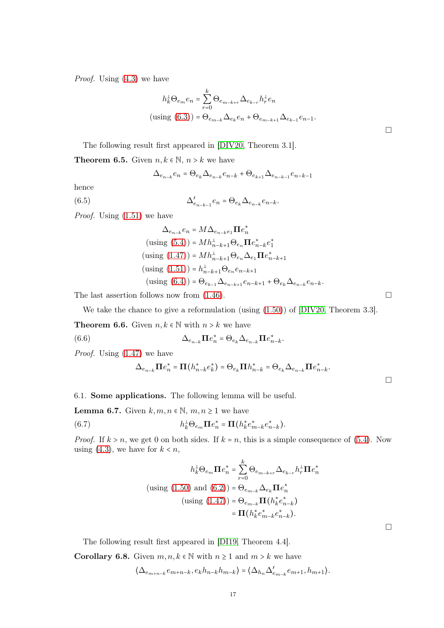Proof. Using [\(4.3\)](#page-11-5) we have

$$
h_k^{\perp} \Theta_{e_m} e_n = \sum_{r=0}^{k} \Theta_{e_{m-k+r}} \Delta_{e_{k-r}} h_r^{\perp} e_n
$$
  
(using (6.3)) =  $\Theta_{e_{m-k}} \Delta_{e_k} e_n + \Theta_{e_{m-k+1}} \Delta_{e_{k-1}} e_{n-1}.$ 

The following result first appeared in [\[DIV20,](#page-29-0) Theorem 3.1].

**Theorem 6.5.** Given  $n, k \in \mathbb{N}, n > k$  we have

<span id="page-16-2"></span>
$$
\Delta_{e_{n-k}}e_n=\Theta_{e_k}\Delta_{e_{n-k}}e_{n-k}+\Theta_{e_{k+1}}\Delta_{e_{n-k-1}}e_{n-k-1}
$$

hence

(6.5) 
$$
\Delta'_{e_{n-k-1}}e_n = \Theta_{e_k}\Delta_{e_{n-k}}e_{n-k}.
$$

*Proof.* Using  $(1.51)$  we have

$$
\Delta_{e_{n-k}} e_n = M \Delta_{e_{n-k}e_1} \Pi e_n^*
$$
  
(using (5.4)) =  $M h_{n-k+1}^{\perp} \Theta_{e_n} \Pi e_{n-k}^* e_1^*$   
(using (1.47)) =  $M h_{n-k+1}^{\perp} \Theta_{e_n} \Delta_{e_1} \Pi e_{n-k+1}^*$   
(using (1.51)) =  $h_{n-k+1}^{\perp} \Theta_{e_n} e_{n-k+1}$   
(using (6.4)) =  $\Theta_{e_{k-1}} \Delta_{e_{n-k+1}} e_{n-k+1} + \Theta_{e_k} \Delta_{e_{n-k}} e_{n-k}.$ 

The last assertion follows now from  $(1.46)$ .

We take the chance to give a reformulation (using [\(1.50\)](#page-7-3)) of [\[DIV20,](#page-29-0) Theorem 3.3].

**Theorem 6.6.** Given  $n, k \in \mathbb{N}$  with  $n > k$  we have

(6.6) 
$$
\Delta_{e_{n-k}} \Pi e_n^* = \Theta_{e_k} \Delta_{e_{n-k}} \Pi e_{n-k}^*.
$$

Proof. Using [\(1.47\)](#page-6-5) we have

<span id="page-16-3"></span>
$$
\Delta_{e_{n-k}} \Pi e_n^* = \Pi \left( h_{n-k}^* e_k^* \right) = \Theta_{e_k} \Pi h_{n-k}^* = \Theta_{e_k} \Delta_{e_{n-k}} \Pi e_{n-k}^*.
$$

<span id="page-16-0"></span>6.1. Some applications. The following lemma will be useful.

**Lemma 6.7.** Given  $k, m, n \in \mathbb{N}, m, n \geq 1$  we have

<span id="page-16-1"></span>(6.7)  $h_k^{\perp} \Theta_{e_m} \Pi e_n^* = \Pi (h_k^* e_{m-k}^* e_{n-k}^*).$ 

*Proof.* If  $k > n$ , we get 0 on both sides. If  $k = n$ , this is a simple consequence of [\(5.4\)](#page-13-3). Now using [\(4.3\)](#page-11-5), we have for  $k < n$ ,

$$
h_k^{\perp} \Theta_{e_m} \mathbf{\Pi} e_n^* = \sum_{r=0}^k \Theta_{e_{m-k+r}} \Delta_{e_{k-r}} h_r^{\perp} \mathbf{\Pi} e_n^*
$$
  
(using (1.50) and (6.2)) =  $\Theta_{e_{m-k}} \Delta_{e_k} \mathbf{\Pi} e_n^*$   
(using (1.47)) =  $\Theta_{e_{m-k}} \mathbf{\Pi} (h_k^* e_{n-k}^*)$   
=  $\mathbf{\Pi} (h_k^* e_m^* - k e_{n-k}^*)$ .

The following result first appeared in [\[DI19,](#page-29-22) Theorem 4.4].

**Corollary 6.8.** Given  $m, n, k \in \mathbb{N}$  with  $n \geq 1$  and  $m > k$  we have

$$
\langle \Delta_{e_{m+n-k}} e_{m+n-k}, e_k h_{n-k} h_{m-k} \rangle = \langle \Delta_{h_n} \Delta'_{e_{m-k}} e_{m+1}, h_{m+1} \rangle.
$$

 $\Box$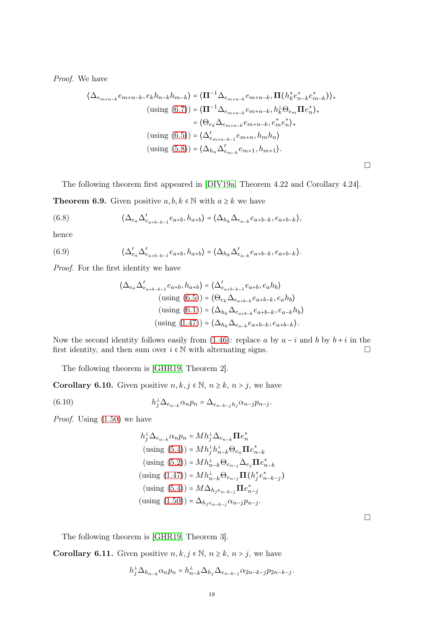Proof. We have

$$
\langle \Delta_{e_{m+n-k}} e_{m+n-k}, e_k h_{n-k} h_{m-k} \rangle = \langle \mathbf{\Pi}^{-1} \Delta_{e_{m+n-k}} e_{m+n-k}, \mathbf{\Pi} (h_k^* e_{n-k}^* e_{m-k}^*) \rangle_*
$$
  
\n
$$
(\text{using } (6.7)) = \langle \mathbf{\Pi}^{-1} \Delta_{e_{m+n-k}} e_{m+n-k}, h_k^+ \Theta_{e_m} \mathbf{\Pi} e_n^* \rangle_*
$$
  
\n
$$
= \langle \Theta_{e_k} \Delta_{e_{m+n-k}} e_{m+n-k}, e_m^* e_n^* \rangle_*
$$
  
\n
$$
(\text{using } (6.5)) = \langle \Delta'_{e_{m+n-k-1}} e_{m+n}, h_m h_n \rangle
$$
  
\n
$$
(\text{using } (5.8)) = \langle \Delta_{h_n} \Delta'_{e_{m-k}} e_{m+1}, h_{m+1} \rangle.
$$

The following theorem first appeared in [\[DIV19a,](#page-29-13) Theorem 4.22 and Corollary 4.24].

**Theorem 6.9.** Given positive  $a, b, k \in \mathbb{N}$  with  $a \geq k$  we have

(6.8) 
$$
\langle \Delta_{e_a} \Delta'_{e_{a+b-k-1}} e_{a+b}, h_{a+b} \rangle = \langle \Delta_{h_k} \Delta_{e_{a-k}} e_{a+b-k}, e_{a+b-k} \rangle,
$$

hence

(6.9) 
$$
\langle \Delta'_{e_a} \Delta'_{e_{a+b-k-1}} e_{a+b}, h_{a+b} \rangle = \langle \Delta_{h_k} \Delta'_{e_{a-k}} e_{a+b-k}, e_{a+b-k} \rangle.
$$

Proof. For the first identity we have

$$
\langle \Delta_{e_a} \Delta'_{e_{a+b-k-1}} e_{a+b}, h_{a+b} \rangle = \langle \Delta'_{e_{a+b-k-1}} e_{a+b}, e_a h_b \rangle
$$
  
(using (6.5)) =  $\langle \Theta_{e_k} \Delta_{e_{a+b-k}} e_{a+b-k}, e_a h_b \rangle$   
(using (6.1)) =  $\langle \Delta_{h_k} \Delta_{e_{a+b-k}} e_{a+b-k}, e_{a-k} h_b \rangle$   
(using (1.47)) =  $\langle \Delta_{h_k} \Delta_{e_{a-k}} e_{a+b-k}, e_{a+b-k} \rangle$ .

Now the second identity follows easily from [\(1.46\)](#page-6-6): replace a by  $a - i$  and b by  $b + i$  in the first identity, and then sum over  $i \in \mathbb{N}$  with alternating signs.  $\Box$ 

The following theorem is [\[GHR19,](#page-29-21) Theorem 2].

**Corollary 6.10.** Given positive  $n, k, j \in \mathbb{N}, n \geq k, n > j$ , we have

(6.10) 
$$
h_j^{\perp} \Delta_{e_{n-k}} \alpha_n p_n = \Delta_{e_{n-k-j}} h_j \alpha_{n-j} p_{n-j}.
$$

*Proof.* Using  $(1.50)$  we have

$$
h_j^{\perp} \Delta_{e_{n-k}} \alpha_n p_n = M h_j^{\perp} \Delta_{e_{n-k}} \mathbf{\Pi} e_n^*
$$
  
(using (5.4)) =  $M h_j^{\perp} h_{n-k}^{\perp} \Theta_{e_n} \mathbf{\Pi} e_{n-k}^*$   
(using (5.2)) =  $M h_{n-k}^{\perp} \Theta_{e_{n-j}} \Delta_{e_j} \mathbf{\Pi} e_{n-k}^*$   
(using (1.47)) =  $M h_{n-k}^{\perp} \Theta_{e_{n-j}} \mathbf{\Pi} (h_j^* e_{n-k-j}^*)$   
(using (5.4)) =  $M \Delta_{h_j e_{n-k-j}} \mathbf{\Pi} e_{n-j}^*$   
(using (1.50)) =  $\Delta_{h_j e_{n-k-j}} \alpha_{n-j} p_{n-j}$ .

 $\Box$ 

 $\Box$ 

The following theorem is [\[GHR19,](#page-29-21) Theorem 3].

**Corollary 6.11.** Given positive  $n, k, j \in \mathbb{N}, n \geq k, n > j$ , we have

$$
h_j^{\perp} \Delta_{h_{n-k}} \alpha_n p_n = h_{n-k}^{\perp} \Delta_{h_j} \Delta_{e_{n-k-j}} \alpha_{2n-k-j} p_{2n-k-j}.
$$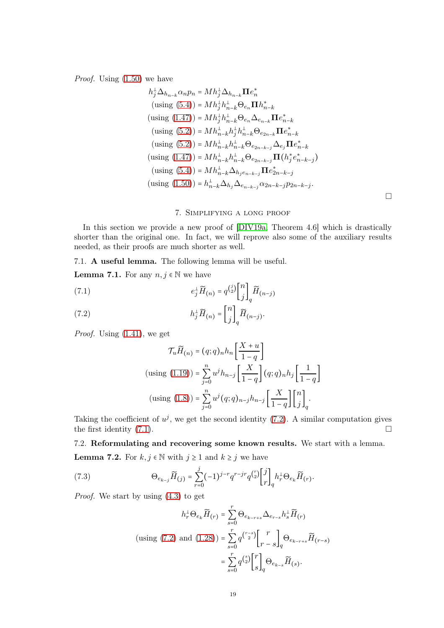Proof. Using [\(1.50\)](#page-7-3) we have

$$
h_j^{\perp} \Delta_{h_{n-k}} \alpha_n p_n = M h_j^{\perp} \Delta_{h_{n-k}} \mathbf{\Pi} e_n^*
$$
  
\n(using (5.4)) =  $M h_j^{\perp} h_{n-k}^{\perp} \Theta_{e_n} \mathbf{\Pi} h_{n-k}^*$   
\n(using (1.47)) =  $M h_j^{\perp} h_{n-k}^{\perp} \Theta_{e_n} \Delta_{e_{n-k}} \mathbf{\Pi} e_{n-k}^*$   
\n(using (5.2)) =  $M h_{n-k}^{\perp} h_j^{\perp} h_{n-k}^{\perp} \Theta_{e_{2n-k}} \mathbf{\Pi} e_{n-k}^*$   
\n(using (5.2)) =  $M h_{n-k}^{\perp} h_{n-k}^{\perp} \Theta_{e_{2n-k-j}} \Delta_{e_j} \mathbf{\Pi} e_{n-k}^*$   
\n(using (1.47)) =  $M h_{n-k}^{\perp} h_{n-k}^{\perp} \Theta_{e_{2n-k-j}} \mathbf{\Pi} (h_j^* e_{n-k-j}^*)$   
\n(using (5.4)) =  $M h_{n-k}^{\perp} \Delta_{h_j e_{n-k-j}} \mathbf{\Pi} e_{2n-k-j}^*$   
\n(using (1.50)) =  $h_{n-k}^{\perp} \Delta_{h_j} \Delta_{e_{n-k-j}} \alpha_{2n-k-j} p_{2n-k-j}$ 

# 7. Simplifying a long proof

<span id="page-18-0"></span>In this section we provide a new proof of  $[DIV19a, Theorem 4.6]$  which is drastically shorter than the original one. In fact, we will reprove also some of the auxiliary results needed, as their proofs are much shorter as well.

<span id="page-18-1"></span>7.1. A useful lemma. The following lemma will be useful.

**Lemma 7.1.** For any  $n, j \in \mathbb{N}$  we have

<span id="page-18-4"></span>(7.1) 
$$
e_j^{\perp} \widetilde{H}_{(n)} = q^{\binom{j}{2}} \begin{bmatrix} n \\ j \end{bmatrix}_q \widetilde{H}_{(n-j)}
$$

<span id="page-18-3"></span>(7.2) 
$$
h_j^{\perp} \widetilde{H}_{(n)} = \begin{bmatrix} n \\ j \end{bmatrix}_q \widetilde{H}_{(n-j)}.
$$

Proof. Using [\(1.41\)](#page-6-7), we get

$$
\mathcal{T}_u \widetilde{H}_{(n)} = (q;q)_n h_n \left[ \frac{X+u}{1-q} \right]
$$
  
(using (1.19)) =  $\sum_{j=0}^n u^j h_{n-j} \left[ \frac{X}{1-q} \right] (q;q)_n h_j \left[ \frac{1}{1-q} \right]$   
(using (1.8)) =  $\sum_{j=0}^n u^j (q;q)_{n-j} h_{n-j} \left[ \frac{X}{1-q} \right] \binom{n}{j}_q.$ 

Taking the coefficient of  $u^j$ , we get the second identity [\(7.2\)](#page-18-3). A similar computation gives the first identity  $(7.1)$ .

<span id="page-18-2"></span>7.2. Reformulating and recovering some known results. We start with a lemma.

**Lemma 7.2.** For  $k, j \in \mathbb{N}$  with  $j \ge 1$  and  $k \ge j$  we have

(7.3) 
$$
\Theta_{e_{k-j}} \widetilde{H}_{(j)} = \sum_{r=0}^{j} (-1)^{j-r} q^{r-j} q^{\binom{r}{2}} {j \brack r}_{q} h_r^{\perp} \Theta_{e_k} \widetilde{H}_{(r)}.
$$

Proof. We start by using [\(4.3\)](#page-11-5) to get

$$
h_r^{\perp} \Theta_{e_k} \widetilde{H}_{(r)} = \sum_{s=0}^r \Theta_{e_{k-r+s}} \Delta_{e_{r-s}} h_s^{\perp} \widetilde{H}_{(r)}
$$
  
(using (7.2) and (1.28)) = 
$$
\sum_{s=0}^r q^{\binom{r-s}{2}} \begin{bmatrix} r \\ r-s \end{bmatrix}_q \Theta_{e_{k-r+s}} \widetilde{H}_{(r-s)}
$$

$$
= \sum_{s=0}^r q^{\binom{s}{2}} \begin{bmatrix} r \\ s \end{bmatrix}_q \Theta_{e_{k-s}} \widetilde{H}_{(s)}.
$$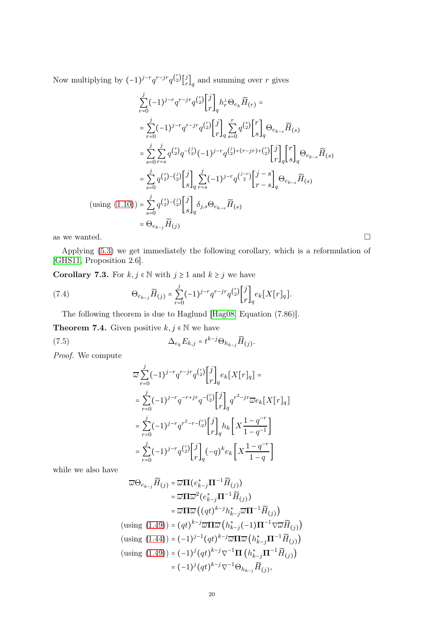Now multiplying by  $(-1)^{j-r} q^{r-jr} q^{\binom{r}{2}} \begin{bmatrix} j \\ r \end{bmatrix}$  $\binom{J}{r}_q$  and summing over r gives

$$
\sum_{r=0}^{j} (-1)^{j-r} q^{r-j} q^{\binom{r}{2}} \begin{bmatrix} j \\ r \end{bmatrix}_{q} h_{r}^{\perp} \Theta_{e_{k}} \widetilde{H}_{(r)} =
$$
\n
$$
= \sum_{r=0}^{j} (-1)^{j-r} q^{r-j} q^{\binom{r}{2}} \begin{bmatrix} j \\ r \end{bmatrix}_{q} \sum_{s=0}^{r} q^{\binom{s}{2}} \begin{bmatrix} r \\ s \end{bmatrix}_{q} \Theta_{e_{k-s}} \widetilde{H}_{(s)}
$$
\n
$$
= \sum_{s=0}^{j} \sum_{r=s}^{j} q^{\binom{s}{2}} q^{-\binom{j}{2}} (-1)^{j-r} q^{\binom{j}{2} + (r-jr) + \binom{r}{2}} \begin{bmatrix} j \\ r \end{bmatrix}_{q} \begin{bmatrix} r \\ s \end{bmatrix}_{q} \Theta_{e_{k-s}} \widetilde{H}_{(s)}
$$
\n
$$
= \sum_{s=0}^{j} q^{\binom{s}{2} - \binom{j}{2}} \begin{bmatrix} j \\ s \end{bmatrix}_{q} \sum_{r=s}^{j} (-1)^{j-r} q^{\binom{j-r}{2}} \begin{bmatrix} j-s \\ r-s \end{bmatrix}_{q} \Theta_{e_{k-s}} \widetilde{H}_{(s)}
$$
\n
$$
\text{(using (1.10))} = \sum_{s=0}^{j} q^{\binom{s}{2} - \binom{j}{2}} \begin{bmatrix} j \\ s \end{bmatrix}_{q} \delta_{j,s} \Theta_{e_{k-s}} \widetilde{H}_{(s)}
$$
\n
$$
= \Theta_{e_{k-j}} \widetilde{H}_{(j)}
$$
\nas we wanted.

Applying [\(5.3\)](#page-13-1) we get immediately the following corollary, which is a reformulation of [\[GHS11,](#page-29-19) Proposition 2.6].

**Corollary 7.3.** For  $k, j \in \mathbb{N}$  with  $j \ge 1$  and  $k \ge j$  we have

(7.4) 
$$
\Theta_{e_{k-j}} \widetilde{H}_{(j)} = \sum_{r=0}^{j} (-1)^{j-r} q^{r-j} q^{\binom{r}{2}} {j \brack r}_q e_k [X[r]_q].
$$

The following theorem is due to Haglund [\[Hag08,](#page-29-16) Equation (7.86)].

**Theorem 7.4.** Given positive  $k, j \in \mathbb{N}$  we have

(7.5) 
$$
\Delta_{e_k} E_{k,j} = t^{k-j} \Theta_{h_{k-j}} \widetilde{H}_{(j)}.
$$

Proof. We compute

<span id="page-19-1"></span><span id="page-19-0"></span>
$$
\begin{split} &\overline{\omega} \sum_{r=0}^{j} (-1)^{j-r} q^{r-jr} q^{\binom{r}{2}} \genfrac{[}{]}{0pt}{}{j}{r}_q e_k[X[r]_q] = \\ &= \sum_{r=0}^{j} (-1)^{j-r} q^{-r+jr} q^{-\binom{r}{2}} \genfrac{[}{]}{0pt}{}{j}{r}_q q^{r^2-jr} \overline{\omega} e_k[X[r]_q] \\ &= \sum_{r=0}^{j} (-1)^{j-r} q^{r^2-r-\binom{r}{2}} \genfrac{[}{]}{0pt}{}{j}{r}_q h_k \left[ X \frac{1-q^{-r}}{1-q^{-1}} \right] \\ &= \sum_{r=0}^{j} (-1)^{j-r} q^{\binom{r}{2}} \genfrac{[}{]}{0pt}{}{j}{r}_q (-q)^k e_k \left[ X \frac{1-q^{-r}}{1-q} \right] \end{split}
$$

while we also have

$$
\overline{\omega}\Theta_{e_{k-j}}\widetilde{H}_{(j)} = \overline{\omega}\Pi(e_{k-j}^*\Pi^{-1}\widetilde{H}_{(j)})
$$
\n
$$
= \overline{\omega}\Pi\overline{\omega}^2(e_{k-j}^*\Pi^{-1}\widetilde{H}_{(j)})
$$
\n
$$
= \overline{\omega}\Pi\overline{\omega}\left((qt)^{k-j}h_{k-j}^*\overline{\omega}\Pi^{-1}\widetilde{H}_{(j)}\right)
$$
\n
$$
\text{(using (1.49))} = (qt)^{k-j}\overline{\omega}\Pi\overline{\omega}\left(h_{k-j}^*(-1)\Pi^{-1}\nabla\overline{\omega}\widetilde{H}_{(j)}\right)
$$
\n
$$
\text{(using (1.44))} = (-1)^{j-1}(qt)^{k-j}\overline{\omega}\Pi\overline{\omega}\left(h_{k-j}^*\Pi^{-1}\widetilde{H}_{(j)}\right)
$$
\n
$$
\text{(using (1.49))} = (-1)^j (qt)^{k-j}\nabla^{-1}\Pi\left(h_{k-j}^*\Pi^{-1}\widetilde{H}_{(j)}\right)
$$
\n
$$
= (-1)^j (qt)^{k-j}\nabla^{-1}\Theta_{h_{k-j}}\widetilde{H}_{(j)},
$$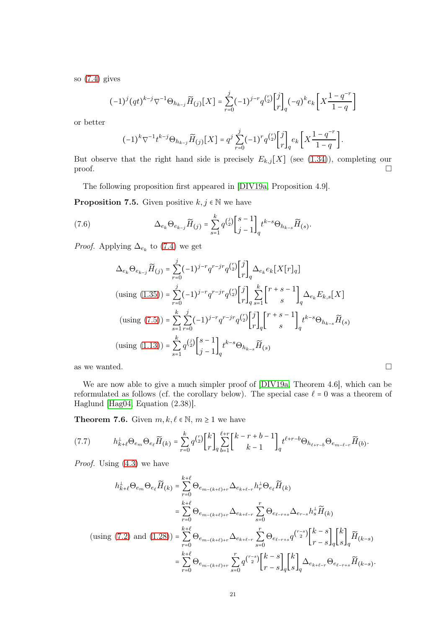so  $(7.4)$  gives

$$
(-1)^{j} (qt)^{k-j} \nabla^{-1} \Theta_{h_{k-j}} \widetilde{H}_{(j)}[X] = \sum_{r=0}^{j} (-1)^{j-r} q^{\binom{r}{2}} {j \brack r}_q (-q)^{k} e_k \left[ X \frac{1 - q^{-r}}{1 - q} \right]
$$

or better

$$
(-1)^{k} \nabla^{-1} t^{k-j} \Theta_{h_{k-j}} \widetilde{H}_{(j)}[X] = q^{j} \sum_{r=0}^{j} (-1)^{r} q^{\binom{r}{2}} {j \brack r}_{q} e_{k} \left[ X \frac{1 - q^{-r}}{1 - q} \right].
$$

But observe that the right hand side is precisely  $E_{k,j}[X]$  (see [\(1.34\)](#page-5-4)), completing our proof.  $\Box$ 

The following proposition first appeared in [\[DIV19a,](#page-29-13) Proposition 4.9].

**Proposition 7.5.** Given positive  $k, j \in \mathbb{N}$  we have

(7.6) 
$$
\Delta_{e_k} \Theta_{e_{k-j}} \widetilde{H}_{(j)} = \sum_{s=1}^k q^{\binom{j}{2}} \begin{bmatrix} s-1 \\ j-1 \end{bmatrix}_q t^{k-s} \Theta_{h_{k-s}} \widetilde{H}_{(s)}.
$$

*Proof.* Applying  $\Delta_{e_k}$  to [\(7.4\)](#page-19-0) we get

<span id="page-20-0"></span>
$$
\Delta_{e_k} \Theta_{e_{k-j}} \widetilde{H}_{(j)} = \sum_{r=0}^{j} (-1)^{j-r} q^{r-jr} q^{\binom{r}{2}} \begin{bmatrix} j \\ r \end{bmatrix}_q \Delta_{e_k} e_k \big[ X[r]_q \big]
$$
\n
$$
\text{(using (1.35))} = \sum_{r=0}^{j} (-1)^{j-r} q^{r-jr} q^{\binom{r}{2}} \begin{bmatrix} j \\ r \end{bmatrix}_q \sum_{s=1}^{k} \begin{bmatrix} r+s-1 \\ s \end{bmatrix}_q \Delta_{e_k} E_{k,s} \big[ X \big]
$$
\n
$$
\text{(using (7.5))} = \sum_{s=1}^{k} \sum_{r=0}^{j} (-1)^{j-r} q^{r-jr} q^{\binom{r}{2}} \begin{bmatrix} j \\ r \end{bmatrix}_q \begin{bmatrix} r+s-1 \\ s \end{bmatrix}_q t^{k-s} \Theta_{h_{k-s}} \widetilde{H}_{(s)}
$$
\n
$$
\text{(using (1.13))} = \sum_{s=1}^{k} q^{\binom{j}{2}} \begin{bmatrix} s-1 \\ j-1 \end{bmatrix}_q t^{k-s} \Theta_{h_{k-s}} \widetilde{H}_{(s)}
$$

as we wanted.  $\Box$ 

We are now able to give a much simpler proof of [\[DIV19a,](#page-29-13) Theorem 4.6], which can be reformulated as follows (cf. the corollary below). The special case  $\ell = 0$  was a theorem of Haglund [\[Hag04,](#page-29-20) Equation (2.38)].

**Theorem 7.6.** Given  $m, k, \ell \in \mathbb{N}$ ,  $m \ge 1$  we have

<span id="page-20-1"></span>
$$
(7.7) \t h_{k+\ell}^{\perp} \Theta_{e_m} \Theta_{e_\ell} \widetilde{H}_{(k)} = \sum_{r=0}^k q^{\binom{r}{2}} \begin{bmatrix} k \\ r \end{bmatrix} \sum_{q=1}^{\ell+r} \begin{bmatrix} k-r+b-1 \\ k-1 \end{bmatrix} t^{\ell+r-b} \Theta_{h_{\ell+r-b}} \Theta_{e_{m-\ell-r}} \widetilde{H}_{(b)}.
$$

Proof. Using [\(4.3\)](#page-11-5) we have

$$
h_{k+\ell}^{\perp} \Theta_{e_m} \Theta_{e_\ell} \widetilde{H}_{(k)} = \sum_{r=0}^{k+\ell} \Theta_{e_{m-(k+\ell)+r}} \Delta_{e_{k+\ell-r}} h_r^{\perp} \Theta_{e_\ell} \widetilde{H}_{(k)}
$$
  
\n
$$
= \sum_{r=0}^{k+\ell} \Theta_{e_{m-(k+\ell)+r}} \Delta_{e_{k+\ell-r}} \sum_{s=0}^r \Theta_{e_{\ell-r+s}} \Delta_{e_{r-s}} h_s^{\perp} \widetilde{H}_{(k)}
$$
  
\n(using (7.2) and (1.28)) = 
$$
\sum_{r=0}^{k+\ell} \Theta_{e_{m-(k+\ell)+r}} \Delta_{e_{k+\ell-r}} \sum_{s=0}^r \Theta_{e_{\ell-r+s}} q^{\binom{r-s}{2}} \begin{bmatrix} k-s \\ r-s \end{bmatrix}_q \begin{bmatrix} k \\ s \end{bmatrix}_q \widetilde{H}_{(k-s)}
$$
  
\n
$$
= \sum_{r=0}^{k+\ell} \Theta_{e_{m-(k+\ell)+r}} \sum_{s=0}^r q^{\binom{r-s}{2}} \begin{bmatrix} k-s \\ r-s \end{bmatrix}_q \begin{bmatrix} k \\ s \end{bmatrix}_q \Delta_{e_{k+\ell-r}} \Theta_{e_{\ell-r+s}} \widetilde{H}_{(k-s)}.
$$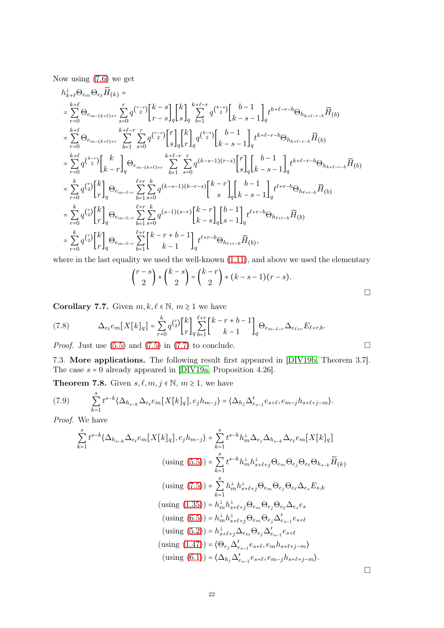Now using [\(7.6\)](#page-20-0) we get

$$
\begin{split} &h^{\perp}_{k+\ell}\Theta_{e_{m}}\Theta_{e_{\ell}}\widetilde{H}_{(k)}=\\ &=\sum_{r=0}^{k+\ell}\Theta_{e_{m-(k+\ell)+r}}\sum_{s=0}^{r}q^{\binom{r-s}{2}}{k-s\brack r-s}_{q}\binom{k}{s}_{q}\sum_{b=1}^{k+\ell-r}q^{\binom{k-s}{2}}{k-s-1\brack k-s-1}_{q}t^{k+\ell-r-b}\Theta_{h_{k+\ell-r-b}}\widetilde{H}_{(b)}\\ &=\sum_{r=0}^{k+\ell}\Theta_{e_{m-(k+\ell)+r}}\sum_{b=1}^{k+\ell-r}\sum_{s=0}^{r}q^{\binom{r-s}{2}}{s\brack s}_{q}\binom{k}{r}_{q}q^{\binom{k-s}{2}}{k-s-1\brack k-s-1}_{q}t^{k+\ell-r-b}\Theta_{h_{k+\ell-r-b}}\widetilde{H}_{(b)}\\ &=\sum_{r=0}^{k+\ell}q^{\binom{k-r}{2}}{k-r\brack r}_{q}\Theta_{e_{m-(k+\ell)+r}}\sum_{b=1}^{k+\ell-r}\sum_{s=0}^{r}q^{\binom{k-s-1}{2}}{s\brack s}_{q}\binom{b-1}{s}_{q}{k-s-1\brack r}_{q}t^{k+\ell-r-b}\Theta_{h_{k+\ell-r-b}}\widetilde{H}_{(b)}\\ &=\sum_{r=0}^{k}q^{\binom{r}{2}}{k\brack r}_{q}\Theta_{e_{m-\ell-r}}\sum_{b=1}^{\ell+r}\sum_{s=0}^{k}q^{\binom{k-s-1}{2}}{s-1\brack k-s}_{q}{k-r\brack s}_{q}\binom{b-1}{s-1}_{q}t^{\ell+r-b}\Theta_{h_{\ell+r-b}}\widetilde{H}_{(b)}\\ &=\sum_{r=0}^{k}q^{\binom{r}{2}}{k\brack r}_{q}\Theta_{e_{m-\ell-r}}\sum_{b=1}^{\ell+r}\sum_{s=0}^{k}q^{\binom{s-1}{2}}{s-1\brack k-s}_{q}{k-r\brack r}_{q}\Theta_{h_{\ell+r-b}}\widetilde{H}_{(b)}\\ &=\sum_{r=0}^{k}q^{\binom{r}{2}}{k\brack r}_{q}\Theta_{e_{m-\ell-r}}\sum_{b=1}^{\ell+r}\binom{k-r}{k-1}\det^{t+r-b}\Theta_{h_{\ell+r-b
$$

where in the last equality we used the well-known  $(1.11)$ , and above we used the elementary

$$
\binom{r-s}{2} + \binom{k-s}{2} = \binom{k-r}{2} + (k-s-1)(r-s).
$$

Corollary 7.7. Given  $m, k, \ell \in \mathbb{N}, m \geq 1$  we have

<span id="page-21-1"></span>(7.8) 
$$
\Delta_{e_{\ell}} e_m[X[k]_q] = \sum_{r=0}^k q^{\binom{r}{2}} {k \brack r}_{q} \sum_{b=1}^{\ell+r} {k-r+b-1 \brack k-1} \Theta_{e_{m-\ell-r}} \Delta_{e_{\ell+r}} E_{\ell+r,b}.
$$

<span id="page-21-0"></span>*Proof.* Just use  $(5.5)$  and  $(7.5)$  in  $(7.7)$  to conclude.

7.3. More applications. The following result first appeared in [\[DIV19b,](#page-29-23) Theorem 3.7]. The case  $s = 0$  already appeared in [\[DIV19a,](#page-29-13) Proposition 4.26].

**Theorem 7.8.** Given  $s, \ell, m, j \in \mathbb{N}, m \geq 1$ , we have

(7.9) 
$$
\sum_{k=1}^{s} t^{s-k} \langle \Delta_{h_{s-k}} \Delta_{e_{\ell}} e_m[X[k]_q], e_j h_{m-j} \rangle = \langle \Delta_{h_j} \Delta'_{e_{s-1}} e_{s+\ell}, e_{m-j} h_{s+\ell+j-m} \rangle.
$$

Proof. We have

$$
\sum_{k=1}^{s} t^{s-k} \langle \Delta_{h_{s-k}} \Delta_{e_{\ell}} e_m[X[k]_q], e_j h_{m-j} \rangle = \sum_{k=1}^{s} t^{s-k} h_m^{\perp} \Delta_{e_j} \Delta_{h_{s-k}} \Delta_{e_{\ell}} e_m[X[k]_q]
$$
  
\n
$$
\text{(using (5.5))} = \sum_{k=1}^{s} t^{s-k} h_m^{\perp} h_{s+\ell+j}^{\perp} \Theta_{e_m} \Theta_{e_j} \Theta_{e_\ell} \Theta_{h_{s-k}} \widetilde{H}_{(k)}
$$
  
\n
$$
\text{(using (7.5))} = \sum_{k=1}^{s} h_m^{\perp} h_{s+\ell+j}^{\perp} \Theta_{e_m} \Theta_{e_j} \Theta_{e_\ell} \Delta_{e_s} E_{s,k}
$$
  
\n
$$
\text{(using (1.35))} = h_m^{\perp} h_{s+\ell+j}^{\perp} \Theta_{e_m} \Theta_{e_j} \Theta_{e_\ell} \Delta_{e_s} e_s
$$
  
\n
$$
\text{(using (6.5))} = h_m^{\perp} h_{s+\ell+j}^{\perp} \Theta_{e_m} \Theta_{e_j} \Delta'_{e_{s-1}} e_{s+\ell}
$$
  
\n
$$
\text{(using (5.2))} = h_{s+\ell+j}^{\perp} \Delta_{e_m} \Theta_{e_j} \Delta'_{e_{s-1}} e_{s+\ell}
$$
  
\n
$$
\text{(using (1.47))} = \{\Theta_{e_j} \Delta'_{e_{s-1}} e_{s+\ell}, e_m h_{s+\ell+j-m}\}
$$
  
\n
$$
\text{(using (6.1))} = \{\Delta_{h_j} \Delta'_{e_{s-1}} e_{s+\ell}, e_m-j h_{s+\ell+j-m}\}.
$$

 $\Box$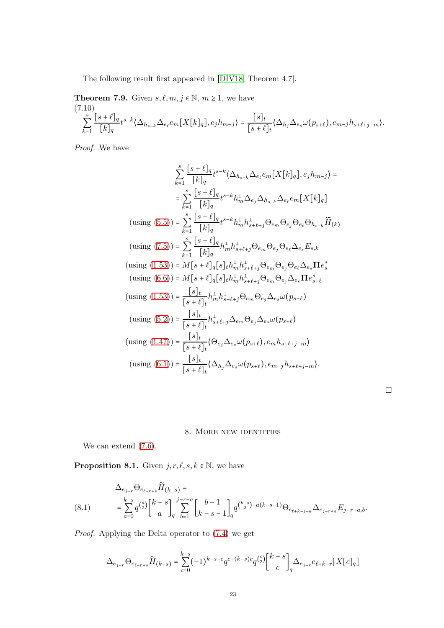The following result first appeared in [\[DIV18,](#page-29-12) Theorem 4.7].

**Theorem 7.9.** Given  $s, \ell, m, j \in \mathbb{N}, m \geq 1$ , we have (7.10) s ∑  $\overline{k=1}$  $[s + \ell]_q$  $\frac{1}{[k]_q} t^{s-k} \langle \Delta_{h_{s-k}} \Delta_{e_{\ell}} e_m[X[k]_q], e_j h_{m-j} \rangle = \frac{[s]_t}{[s+\ell]}$  $\frac{C_{j,t}}{[s+\ell]_t} \langle \Delta_{h_j} \Delta_{e_s} \omega(p_{s+\ell}), e_{m-j} h_{s+\ell+j-m} \rangle.$ 

Proof. We have

$$
\sum_{k=1}^{s} \frac{[s+\ell]_q}{[k]_q} t^{s-k} \langle \Delta_{h_{s-k}} \Delta_{e_{\ell}} e_m[X[k]_q], e_j h_{m-j} \rangle =
$$
\n
$$
= \sum_{k=1}^{s} \frac{[s+\ell]_q}{[k]_q} t^{s-k} h_m^{\perp} \Delta_{e_j} \Delta_{h_{s-k}} \Delta_{e_{\ell}} e_m[X[k]_q]
$$
\n
$$
\text{(using (5.5))} = \sum_{k=1}^{s} \frac{[s+\ell]_q}{[k]_q} t^{s-k} h_m^{\perp} h_{s+\ell+j}^{\perp} \Theta_{e_m} \Theta_{e_j} \Theta_{e_{\ell}} \Theta_{h_{s-k}} \widetilde{H}_{(k)}
$$
\n
$$
\text{(using (7.5))} = \sum_{k=1}^{s} \frac{[s+\ell]_q}{[k]_q} h_m^{\perp} h_{s+\ell+j}^{\perp} \Theta_{e_m} \Theta_{e_j} \Theta_{e_{\ell}} \Delta_{e_s} E_{s,k}
$$
\n
$$
\text{(using (1.53))} = M[s+\ell]_q[s]_t h_m^{\perp} h_{s+\ell+j}^{\perp} \Theta_{e_m} \Theta_{e_j} \Theta_{e_\ell} \Delta_{e_s} \mathbf{\Pi} e_s^*
$$
\n
$$
\text{(using (6.6))} = M[s+\ell]_q[s]_t h_m^{\perp} h_{s+\ell+j}^{\perp} \Theta_{e_m} \Theta_{e_j} \Delta_{e_s} \mathbf{\Pi} e_s^*
$$
\n
$$
\text{(using (1.53))} = \frac{[s]_t}{[s+\ell]_t} h_m^{\perp} h_{s+\ell+j}^{\perp} \Theta_{e_m} \Theta_{e_j} \Delta_{e_s} \omega(p_{s+\ell})
$$
\n
$$
\text{(using (5.2))} = \frac{[s]_t}{[s+\ell]_t} h_{s+\ell+j}^{\perp} \Delta_{e_m} \Theta_{e_j} \Delta_{e_s} \omega(p_{s+\ell})
$$
\n
$$
\text{(using (1.47))} = \frac{[s]_t}{[s+\ell]_t} \langle \Theta_{e_j} \Delta_{e_s} \omega(p_{s+\ell}), e_m h_{s+\ell+j-m} \rangle
$$
\n
$$
\text{(using (6.1
$$

### 8. More new identities

<span id="page-22-0"></span>We can extend  $(7.6)$ .

**Proposition 8.1.** Given  $j, r, \ell, s, k \in \mathbb{N}$ , we have

<span id="page-22-1"></span>
$$
\Delta_{e_{j-r}} \Theta_{e_{\ell-r+s}} \widetilde{H}_{(k-s)} =\n\sum_{a=0}^{k-s} q^{\binom{a}{2}} \left[ \begin{array}{c} k-s \\ a \end{array} \right]_q \sum_{b=1}^{j-r+a} \left[ \begin{array}{c} b-1 \\ k-s-1 \end{array} \right]_q q^{\binom{k-s}{2} - a(k-s-1)} \Theta_{e_{\ell+k-j-a}} \Delta_{e_{j-r+a}} E_{j-r+a,b}.
$$
\n(8.1)

Proof. Applying the Delta operator to [\(7.4\)](#page-19-0) we get

$$
\Delta_{e_{j-r}} \Theta_{e_{\ell-r+s}} \widetilde{H}_{(k-s)} = \sum_{c=0}^{k-s} (-1)^{k-s-c} q^{c-(k-s)c} q^{\binom{c}{2}} \binom{k-s}{c}_{q} \Delta_{e_{j-r}} e_{\ell+k-r} [X[c]_q]
$$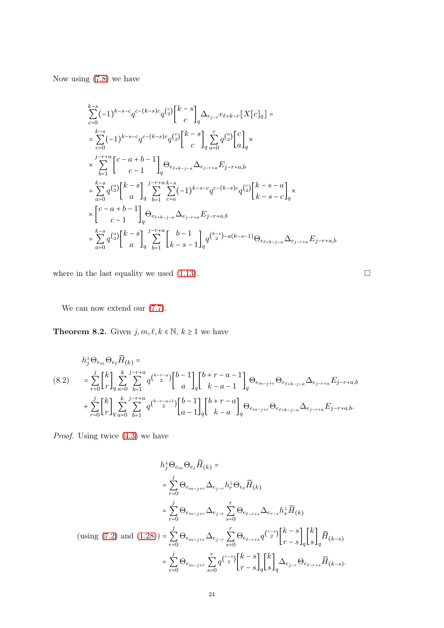Now using [\(7.8\)](#page-21-1) we have

$$
\sum_{c=0}^{k-s} (-1)^{k-s-c} q^{c-(k-s)c} q^{\binom{c}{2}} \binom{k-s}{c} \Delta_{e_{j-r}} e_{\ell+k-r} [X[c]_q] =
$$
\n
$$
= \sum_{c=0}^{k-s} (-1)^{k-s-c} q^{c-(k-s)c} q^{\binom{c}{2}} \binom{k-s}{c} \sum_{q} \sum_{a=0}^{c} q^{\binom{a}{2}} \binom{c}{a}_q \times
$$
\n
$$
\times \sum_{b=1}^{j-r+a} \binom{c-a+b-1}{c-1} q^{\Theta_{e_{\ell+k-j-a}} \Delta_{e_{j-r+a}} E_{j-r+a,b}
$$
\n
$$
= \sum_{a=0}^{k-s} q^{\binom{a}{2}} \binom{k-s}{a}_q \sum_{b=1}^{j-r+a} \sum_{c=a}^{k-s} (-1)^{k-s-c} q^{c-(k-s)c} q^{\binom{c}{2}} \binom{k-s-a}{k-s-c}_q \times
$$
\n
$$
\times \binom{c-a+b-1}{c-1}_q \Theta_{e_{\ell+k-j-a}} \Delta_{e_{j-r+a}} E_{j-r+a,b}
$$
\n
$$
= \sum_{a=0}^{k-s} q^{\binom{a}{2}} \binom{k-s}{a}_q \sum_{b=1}^{j-r+a} \binom{b-1}{k-s-1}_q q^{\binom{k-s}{2}-a(k-s-1)} \Theta_{e_{\ell+k-j-a}} \Delta_{e_{j-r+a}} E_{j-r+a,b}
$$

where in the last equality we used [\(1.13\)](#page-3-1).  $\Box$ 

We can now extend our  $(7.7)$ .

<span id="page-23-0"></span>**Theorem 8.2.** Given  $j, m, \ell, k \in \mathbb{N}, k \geq 1$  we have

<span id="page-23-1"></span>
$$
h_j^{\perp} \Theta_{e_m} \Theta_{e_\ell} \widetilde{H}_{(k)} =
$$
\n
$$
(8.2) \qquad = \sum_{r=0}^j \binom{k}{r}_q \sum_{a=0}^k \sum_{b=1}^{j-r+a} q^{\binom{k-r-a}{2}} \binom{b-1}{a} \binom{b+r-a-1}{k-a-1} q^{\Theta_{e_{m-j+r}}} \Theta_{e_{\ell+k-j-a}} \Delta_{e_{j-r+a}} E_{j-r+a,b}
$$
\n
$$
+ \sum_{r=0}^j \binom{k}{r}_q \sum_{a=0}^k \sum_{b=1}^{j-r+a} q^{\binom{k-r-a+1}{2}} \binom{b-1}{a-1} \binom{b+r-a}{k-a} \Theta_{e_{m-j+r}} \Theta_{e_{\ell+k-j-a}} \Delta_{e_{j-r+a}} E_{j-r+a,b}.
$$

Proof. Using twice  $(4.3)$  we have

$$
h_{j}^{\perp} \Theta_{e_{m}} \Theta_{e_{\ell}} \widetilde{H}_{(k)} =
$$
\n
$$
= \sum_{r=0}^{j} \Theta_{e_{m-j+r}} \Delta_{e_{j-r}} h_{r}^{\perp} \Theta_{e_{\ell}} \widetilde{H}_{(k)}
$$
\n
$$
= \sum_{r=0}^{j} \Theta_{e_{m-j+r}} \Delta_{e_{j-r}} \sum_{s=0}^{r} \Theta_{e_{\ell-r+s}} \Delta_{e_{r-s}} h_{s}^{\perp} \widetilde{H}_{(k)}
$$
\n
$$
\text{(using (7.2) and (1.28))} = \sum_{r=0}^{j} \Theta_{e_{m-j+r}} \Delta_{e_{j-r}} \sum_{s=0}^{r} \Theta_{e_{\ell-r+s}} q^{\binom{r-s}{2}} \begin{bmatrix} k-s \\ r-s \end{bmatrix}_{q} \begin{bmatrix} k \\ s \end{bmatrix}_{q} \widetilde{H}_{(k-s)}
$$
\n
$$
= \sum_{r=0}^{j} \Theta_{e_{m-j+r}} \sum_{s=0}^{r} q^{\binom{r-s}{2}} \begin{bmatrix} k-s \\ r-s \end{bmatrix}_{q} \begin{bmatrix} k \\ s \end{bmatrix}_{q} \Delta_{e_{j-r}} \Theta_{e_{\ell-r+s}} \widetilde{H}_{(k-s)}.
$$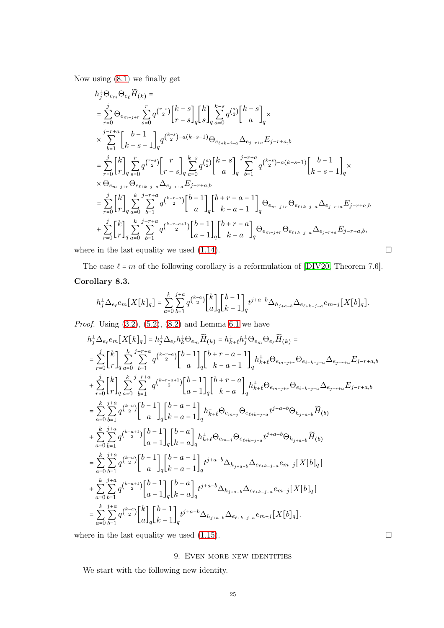Now using [\(8.1\)](#page-22-1) we finally get

$$
h_{j}^{\perp} \Theta_{e_{m}} \Theta_{e_{\ell}} \widetilde{H}_{(k)} =
$$
\n
$$
= \sum_{r=0}^{j} \Theta_{e_{m-j+r}} \sum_{s=0}^{r} q^{\binom{r-s}{2}} \begin{bmatrix} k-s \\ r-s \end{bmatrix} \begin{bmatrix} k \\ s \end{bmatrix} \sum_{q=0}^{k-s} q^{\binom{a}{2}} \begin{bmatrix} k-s \\ a \end{bmatrix} \times
$$
\n
$$
\times \sum_{b=1}^{j-r+a} \begin{bmatrix} b-1 \\ k-s-1 \end{bmatrix} \begin{bmatrix} q^{\binom{k-s}{2}-a(k-s-1)} \Theta_{e_{\ell+k-j-a}} \Delta_{e_{j-r+a}} E_{j-r+a,b}
$$
\n
$$
= \sum_{r=0}^{j} \begin{bmatrix} k \\ r \end{bmatrix} \sum_{q=s0}^{r} q^{\binom{r-s}{2}} \begin{bmatrix} r \\ r-s \end{bmatrix} \sum_{q=a0}^{k-s} q^{\binom{a}{2}} \begin{bmatrix} k-s \\ a \end{bmatrix} \begin{bmatrix} j-r+a \\ j \end{bmatrix} q^{\binom{k-s}{2}-a(k-s-1)} \begin{bmatrix} b-1 \\ k-s-1 \end{bmatrix} \begin{bmatrix} k \\ k-s-1 \end{bmatrix}
$$
\n
$$
\times \Theta_{e_{m-j+r}} \Theta_{e_{\ell+k-j-a}} \Delta_{e_{j-r+a}} E_{j-r+a,b}
$$
\n
$$
= \sum_{r=0}^{j} \begin{bmatrix} k \\ r \end{bmatrix} \sum_{q=a0}^{k} \sum_{b=1}^{j-r+a} q^{\binom{k-r-a}{2}} \begin{bmatrix} b-1 \\ a \end{bmatrix} \begin{bmatrix} b+r-a-1 \\ k-a-1 \end{bmatrix} \begin{bmatrix} \Theta_{e_{m-j+r}} \Theta_{e_{\ell+k-j-a}} \Delta_{e_{j-r+a}} E_{j-r+a,b} + \sum_{r=0}^{j} \begin{bmatrix} k \\ r \end{bmatrix} \sum_{q=a0}^{k} \sum_{b=1}^{j-r+a} q^{\binom{k-r-a+1}{2}} \begin{bmatrix} b-1 \\ a-1 \end{bmatrix} \begin{bmatrix} b+r-a \\ k-a \end{bmatrix} \begin{bmatrix} \Theta_{e_{m-j+r}} \Theta_{e_{\ell+k-j-a}} \Delta_{e_{j-r+a}} E_{
$$

where in the last equality we used [\(1.14\)](#page-3-2).  $\Box$ 

The case  $\ell = m$  of the following corollary is a reformulation of [\[DIV20,](#page-29-0) Theorem 7.6].

# Corollary 8.3.

$$
h_j^{\perp} \Delta_{e_\ell} e_m[X[k]_q] = \sum_{a=0}^k \sum_{b=1}^{j+a} q^{\binom{k-a}{2}} {k \brack a}_q {b-1 \brack k-1}_q t^{j+a-b} \Delta_{h_{j+a-b}} \Delta_{e_{\ell+k-j-a}} e_{m-j}[X[b]_q].
$$

*Proof.* Using  $(3.2)$ ,  $(5.2)$ ,  $(8.2)$  and Lemma [6.1](#page-15-5) we have

$$
\begin{split} &h_{j}^{\perp}\Delta_{e_{\ell}}e_{m}[X[k]_{q}] = h_{j}^{\perp}\Delta_{e_{\ell}}h_{k}^{\perp}\Theta_{e_{m}}\widetilde{H}_{(k)} = h_{k+\ell}^{\perp}h_{j}^{\perp}\Theta_{e_{m}}\Theta_{e_{\ell}}\widetilde{H}_{(k)} = \\ &=\sum_{r=0}^{j}\genfrac{[}{]}{0pt}{}{k}{r}_{q}\sum_{a=0}^{k}\sum_{b=1}^{j-r+a}q^{\binom{k-r-a}{2}}{a} {b-1 \brack a}\genfrac{[}{]}{0pt}{}{k+r-a-1}_{q}\genfrac{[}{]}{0pt}{}{k+\ell}\Theta_{e_{m-j+r}}\Theta_{e_{\ell+k-j-a}}\Delta_{e_{j-r+a}}E_{j-r+a,b} \\ &+\sum_{r=0}^{j}\genfrac{[}{]}{0pt}{}{k}{r}_{q}\sum_{a=0}^{k}\sum_{b=1}^{j-r+a}q^{\binom{k-r-a+1}{2}}{a-1} {b-1 \brack a}\genfrac{[}{]}{0pt}{}{k+r-a}{k-a}\genfrac{[}{]}{0pt}{}{k+\ell}\Theta_{e_{m-j+r}}\Theta_{e_{\ell+k-j-a}}\Delta_{e_{j-r+a}}E_{j-r+a,b} \\ &=\sum_{a=0}^{k}\sum_{b=1}^{j+a}q^{\binom{k-a}{2}}{a} {b-1 \brack a}\genfrac{[}{]}{0pt}{}{k-a-1}_{q}\genfrac{[}{]}{0pt}{}{k+\ell}\Theta_{e_{m-j}}\Theta_{e_{\ell+k-j-a}}t^{j+a-b}\Theta_{h_{j+a-b}}\widetilde{H}_{(b)} \\ &+\sum_{a=0}^{k}\sum_{b=1}^{j+a}q^{\binom{k-a+1}{2}}{a} {b-1 \brack a-1}_{q}{b-a-1 \brack a}\genfrac{[}{]}{0pt}{}{k-a-1}_{q}\nonumber t^{j+a-b}\Delta_{h_{j+a-b}}\Delta_{e_{\ell+k-j-a}}e_{m-j}[X[b]_{q}] \\ &+\sum_{a=0}^{k}\sum_{b=1}^{j+a}q^{\binom{k-a}{2}}{a-1 \brack a-1}_{q}{b-a-1 \brack a}\genfrac{[}{]}{0pt}{}{t^{j+a-b}\Delta_{h_{j+a-b}}\Delta_{e_{\ell+k-j-a}}e_{m-j}[X[b]_{q}] \\ &=\sum_{a=0}^{
$$

<span id="page-24-0"></span>where in the last equality we used [\(1.15\)](#page-3-3).  $\Box$ 

## 9. EVEN MORE NEW IDENTITIES

We start with the following new identity.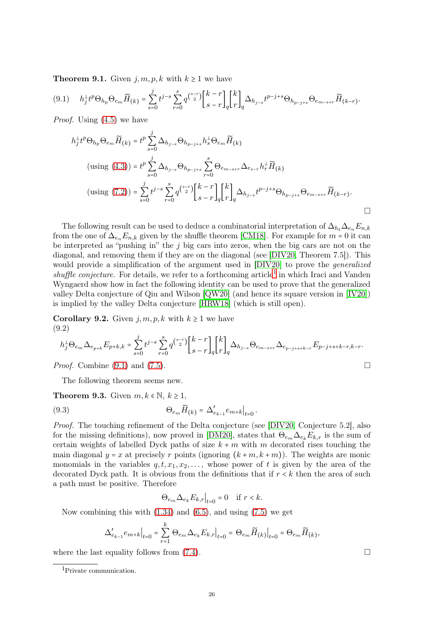**Theorem 9.1.** Given  $j, m, p, k$  with  $k \geq 1$  we have

<span id="page-25-2"></span>
$$
(9.1) \t h_j^{\perp} t^p \Theta_{h_p} \Theta_{e_m} \widetilde{H}_{(k)} = \sum_{s=0}^j t^{j-s} \sum_{r=0}^s q^{\binom{s-r}{2}} \begin{bmatrix} k-r \\ s-r \end{bmatrix}_q \begin{bmatrix} k \\ r \end{bmatrix}_q \Delta_{h_{j-s}} t^{p-j+s} \Theta_{h_{p-j+s}} \Theta_{e_{m-s+r}} \widetilde{H}_{(k-r)}.
$$

*Proof.* Using  $(4.5)$  we have

$$
h_j^{\perp} t^p \Theta_{h_p} \Theta_{e_m} \widetilde{H}_{(k)} = t^p \sum_{s=0}^j \Delta_{h_{j-s}} \Theta_{h_{p-j+s}} h_s^{\perp} \Theta_{e_m} \widetilde{H}_{(k)}
$$
  
\n
$$
\text{(using (4.3))} = t^p \sum_{s=0}^j \Delta_{h_{j-s}} \Theta_{h_{p-j+s}} \sum_{r=0}^s \Theta_{e_{m-s+r}} \Delta_{e_{s-r}} h_r^{\perp} \widetilde{H}_{(k)}
$$
  
\n
$$
\text{(using (7.2))} = \sum_{s=0}^j t^{j-s} \sum_{r=0}^s q^{{s-r \choose 2}} {k-r \brack s-r} {k \brack q} \Delta_{h_{j-s}} t^{p-j+s} \Theta_{h_{p-j+s}} \Theta_{e_{m-s+r}} \widetilde{H}_{(k-r)}.
$$

The following result can be used to deduce a combinatorial interpretation of  $\Delta_{h} \Delta_{e_n} E_{n,k}$ from the one of  $\Delta_{e_n} E_{n,k}$  given by the shuffle theorem [\[CM18\]](#page-29-7). For example for  $m = 0$  it can be interpreted as "pushing in" the  $j$  big cars into zeros, when the big cars are not on the diagonal, and removing them if they are on the diagonal (see [\[DIV20,](#page-29-0) Theorem 7.5]). This would provide a simplification of the argument used in [\[DIV20\]](#page-29-0) to prove the generalized  $shuffle$  conjecture. For details, we refer to a forthcoming  $article<sup>1</sup>$  $article<sup>1</sup>$  $article<sup>1</sup>$  in which Iraci and Vanden Wyngaerd show how in fact the following identity can be used to prove that the generalized valley Delta conjecture of Qiu and Wilson [\[QW20\]](#page-29-24) (and hence its square version in [\[IV20\]](#page-29-25)) is implied by the valley Delta conjecture [\[HRW18\]](#page-29-9) (which is still open).

<span id="page-25-0"></span>**Corollary 9.2.** Given  $j, m, p, k$  with  $k \ge 1$  we have (9.2)

$$
h_j^{\perp} \Theta_{e_m} \Delta_{e_{p+k}} E_{p+k,k} = \sum_{s=0}^j t^{j-s} \sum_{r=0}^s q^{\binom{s-r}{2}} {k-r \brack s-r}_{q} {k \brack r}_q \Delta_{h_{j-s}} \Theta_{e_{m-s+r}} \Delta_{e_{p-j+s+k-r}} E_{p-j+s+k-r,k-r}.
$$

*Proof.* Combine  $(9.1)$  and  $(7.5)$ .

The following theorem seems new.

**Theorem 9.3.** Given  $m, k \in \mathbb{N}, k \geq 1$ ,

(9.3) 
$$
\Theta_{e_m} \widetilde{H}_{(k)} = \Delta'_{e_{k-1}} e_{m+k} \big|_{t=0}.
$$

Proof. The touching refinement of the Delta conjecture (see [\[DIV20,](#page-29-0) Conjecture 5.2], also for the missing definitions), now proved in [\[DM20\]](#page-29-11), states that  $\Theta_{e_m}\Delta_{e_k}E_{k,r}$  is the sum of certain weights of labelled Dyck paths of size  $k + m$  with m decorated rises touching the main diagonal  $y = x$  at precisely r points (ignoring  $(k+m, k+m)$ ). The weights are monic monomials in the variables  $q, t, x_1, x_2, \ldots$ , whose power of t is given by the area of the decorated Dyck path. It is obvious from the definitions that if  $r < k$  then the area of such a path must be positive. Therefore

<span id="page-25-3"></span>
$$
\Theta_{e_m} \Delta_{e_k} E_{k,r} \big|_{t=0} = 0 \quad \text{if } r < k.
$$

Now combining this with  $(1.34)$  and  $(6.5)$ , and using  $(7.5)$  we get

$$
\Delta'_{e_{k-1}}e_{m+k}\Big|_{t=0} = \sum_{r=1}^k \Theta_{e_m} \Delta_{e_k} E_{k,r}\Big|_{t=0} = \Theta_{e_m} \widetilde{H}_{(k)}\Big|_{t=0} = \Theta_{e_m} \widetilde{H}_{(k)},
$$

where the last equality follows from  $(7.4)$ .

<span id="page-25-1"></span><sup>1</sup>Private communication.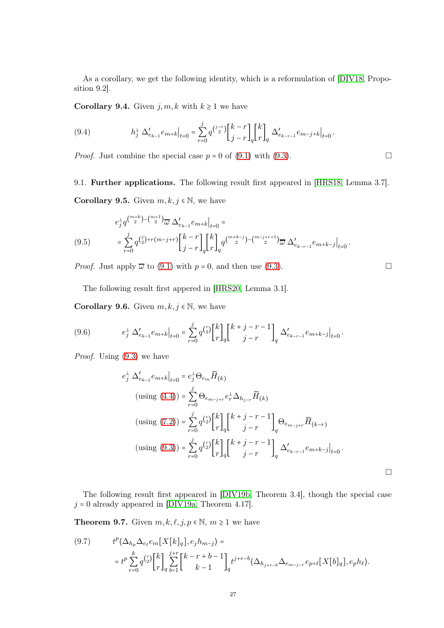As a corollary, we get the following identity, which is a reformulation of [\[DIV18,](#page-29-12) Proposition 9.2].

Corollary 9.4. Given  $j, m, k$  with  $k \geq 1$  we have

(9.4) 
$$
h_j^{\perp} \Delta'_{e_{k-1}} e_{m+k} \Big|_{t=0} = \sum_{r=0}^j q^{\binom{j-r}{2}} \begin{bmatrix} k-r \\ j-r \end{bmatrix}_q \begin{bmatrix} k \\ r \end{bmatrix}_q \Delta'_{e_{k-r-1}} e_{m-j+k} \Big|_{t=0}.
$$

*Proof.* Just combine the special case  $p = 0$  of [\(9.1\)](#page-25-2) with [\(9.3\)](#page-25-3).

<span id="page-26-0"></span>9.1. Further applications. The following result first appeared in [\[HRS18,](#page-29-26) Lemma 3.7]. **Corollary 9.5.** Given  $m, k, j \in \mathbb{N}$ , we have

$$
e_j^{\perp} q^{\binom{m+k}{2} - \binom{m+1}{2}} \overline{\omega} \Delta'_{e_{k-1}} e_{m+k} \Big|_{t=0} =
$$
  
(9.5) 
$$
= \sum_{r=0}^j q^{\binom{j}{2} + r(m-j+r)} \left[ \frac{k-r}{j-r} \right]_q \left[ \frac{k}{r} \right]_q q^{\binom{m+k-j}{2} - \binom{m-j+r+1}{2}} \overline{\omega} \Delta'_{e_{k-r-1}} e_{m+k-j} \Big|_{t=0}.
$$

*Proof.* Just apply  $\overline{\omega}$  to [\(9.1\)](#page-25-2) with  $p = 0$ , and then use [\(9.3\)](#page-25-3).

The following result first appered in [\[HRS20,](#page-29-27) Lemma 3.1].

Corollary 9.6. Given  $m, k, j \in \mathbb{N}$ , we have

(9.6) 
$$
e_j^{\perp} \Delta'_{e_{k-1}} e_{m+k} \Big|_{t=0} = \sum_{r=0}^j q^{\binom{r}{2}} \begin{bmatrix} k \\ r \end{bmatrix}_q \begin{bmatrix} k+j-r-1 \\ j-r \end{bmatrix}_q \Delta'_{e_{k-r-1}} e_{m+k-j} \Big|_{t=0}.
$$

Proof. Using [\(9.3\)](#page-25-3) we have

$$
e_j^{\perp} \Delta'_{e_{k-1}} e_{m+k} \Big|_{t=0} = e_j^{\perp} \Theta_{e_m} \widetilde{H}_{(k)}
$$
  
\n
$$
(\text{using } (4.4)) = \sum_{r=0}^j \Theta_{e_{m-j+r}} e_r^{\perp} \Delta_{h_{j-r}} \widetilde{H}_{(k)}
$$
  
\n
$$
(\text{using } (7.2)) = \sum_{r=0}^j q^{\binom{r}{2}} \begin{bmatrix} k \\ r \end{bmatrix}_q \begin{bmatrix} k+j-r-1 \\ j-r \end{bmatrix}_q \Theta_{e_{m-j+r}} \widetilde{H}_{(k-r)}
$$
  
\n
$$
(\text{using } (9.3)) = \sum_{r=0}^j q^{\binom{r}{2}} \begin{bmatrix} k \\ r \end{bmatrix}_q \begin{bmatrix} k+j-r-1 \\ j-r \end{bmatrix}_q \Delta'_{e_{k-r-1}} e_{m+k-j} \Big|_{t=0}.
$$

The following result first appeared in [\[DIV19b,](#page-29-23) Theorem 3.4], though the special case  $j = 0$  already appeared in [\[DIV19a,](#page-29-13) Theorem 4.17].

**Theorem 9.7.** Given  $m, k, \ell, j, p \in \mathbb{N}, m \ge 1$  we have

(9.7) 
$$
t^{p} \langle \Delta_{h_p} \Delta_{e_{\ell}} e_m[X[k]_q], e_j h_{m-j} \rangle =
$$

$$
= t^{p} \sum_{r=0}^{k} q^{\binom{r}{2}} {k \brack r}_{q}^{\ j+r} \sum_{b=1}^{j+r} {k-r+b-1 \brack k-1} t^{j+r-b} \langle \Delta_{h_{j+r-b}} \Delta_{e_{m-j-r}} e_{p+\ell}[X[b]_q], e_p h_{\ell} \rangle.
$$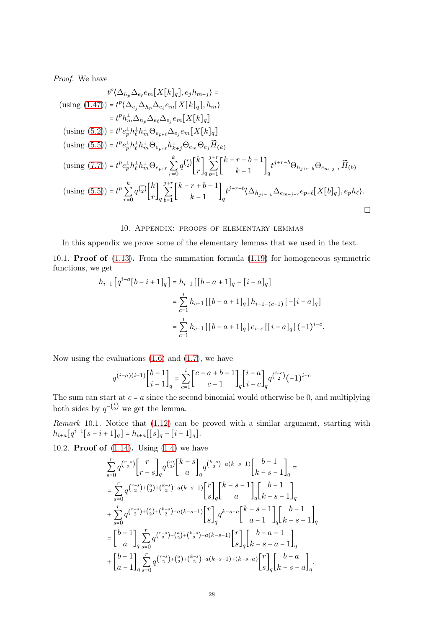Proof. We have

$$
t^{p}(\Delta_{h_{p}}\Delta_{e_{\ell}}e_{m}[X[k]_{q}], e_{j}h_{m-j}) =
$$
  
\n
$$
(\text{using } (1.47)) = t^{p}(\Delta_{e_{j}}\Delta_{h_{p}}\Delta_{e_{\ell}}e_{m}[X[k]_{q}], h_{m})
$$
  
\n
$$
= t^{p}h_{m}^{\perp}\Delta_{h_{p}}\Delta_{e_{\ell}}\Delta_{e_{j}}e_{m}[X[k]_{q}]
$$
  
\n
$$
(\text{using } (5.2)) = t^{p}e_{p}^{\perp}h_{\ell}^{\perp}h_{m}^{\perp}\Theta_{e_{p+\ell}}\Delta_{e_{j}}e_{m}[X[k]_{q}]
$$
  
\n
$$
(\text{using } (5.5)) = t^{p}e_{p}^{\perp}h_{\ell}^{\perp}h_{m}^{\perp}\Theta_{e_{p+\ell}}h_{k+j}^{\perp}\Theta_{e_{m}}\Theta_{e_{j}}\widetilde{H}_{k})
$$
  
\n
$$
(\text{using } (7.7)) = t^{p}e_{p}^{\perp}h_{\ell}^{\perp}h_{m}^{\perp}\Theta_{e_{p+\ell}}\sum_{r=0}^{k} q^{\binom{r}{2}}\begin{bmatrix}k\\r\end{bmatrix}_{q}\sum_{b=1}^{j+r}\begin{bmatrix}k-r+b-1\\k-1\end{bmatrix}_{q}t^{j+r-b}\Theta_{h_{j+r-b}}\Theta_{e_{m-j-r}}\widetilde{H}_{(b)}
$$
  
\n
$$
(\text{using } (5.5)) = t^{p}\sum_{r=0}^{k} q^{\binom{r}{2}}\begin{bmatrix}k\\r\end{bmatrix}_{q}\sum_{b=1}^{j+r}\begin{bmatrix}k-r+b-1\\k-1\end{bmatrix}_{q}t^{j+r-b}\langle\Delta_{h_{j+r-b}}\Delta_{e_{m-j-r}}e_{p+\ell}[X[b]_{q}], e_{p}h_{\ell}\rangle.
$$

#### 10. Appendix: proofs of elementary lemmas

<span id="page-27-0"></span>In this appendix we prove some of the elementary lemmas that we used in the text.

<span id="page-27-1"></span>10.1. Proof of [\(1.13\)](#page-3-1). From the summation formula [\(1.19\)](#page-4-2) for homogeneous symmetric functions, we get

$$
h_{i-1} [q^{i-a}[b-i+1]_q] = h_{i-1} [[b-a+1]_q - [i-a]_q]
$$
  

$$
= \sum_{c=1}^{i} h_{c-1} [[b-a+1]_q] h_{i-1-(c-1)} [-[i-a]_q]
$$
  

$$
= \sum_{c=1}^{i} h_{c-1} [[b-a+1]_q] e_{i-c} [[i-a]_q] (-1)^{i-c}.
$$

Now using the evaluations  $(1.6)$  and  $(1.7)$ , we have

$$
q^{(i-a)(i-1)} \begin{bmatrix} b-1 \\ i-1 \end{bmatrix}_q = \sum_{c=1}^i \begin{bmatrix} c-a+b-1 \\ c-1 \end{bmatrix}_q \begin{bmatrix} i-a \\ i-c \end{bmatrix}_q q^{i-c} (-1)^{i-c}
$$

The sum can start at  $c = a$  since the second binomial would otherwise be 0, and multiplying both sides by  $q^{-\binom{i}{2}}$  we get the lemma.

<span id="page-27-3"></span>Remark 10.1. Notice that [\(1.12\)](#page-3-8) can be proved with a similar argument, starting with  $h_{i+a}[q^{i-1}[s-i+1]_q] = h_{i+a}[[s]_q - [i-1]_q].$ 

<span id="page-27-2"></span>10.2. **Proof of**  $(1.14)$ . Using  $(1.4)$  we have

$$
\begin{split} &\sum_{s=0}^{r}q^{\binom{r-s}{2}}\bigg[\frac{r}{r-s}\bigg]_q q^{\binom{a}{2}}\bigg[\frac{k-s}{a}\bigg]_q^{k-s} \bigg]_q^{\binom{k-s}{2}-a(k-s-1)}\bigg[\frac{b-1}{k-s-1}\bigg]_q =\\ &=\sum_{s=0}^{r}q^{\binom{r-s}{2}+\binom{a}{2}+\binom{k-s}{2}-a(k-s-1)}\bigg[\frac{r}{s}\bigg]_q\bigg[\frac{k-s-1}{a}\bigg]_q\bigg[\frac{b-1}{k-s-1}\bigg]_q\\ &+\sum_{s=0}^{r}q^{\binom{r-s}{2}+\binom{a}{2}+\binom{k-s}{2}-a(k-s-1)}\bigg[\frac{r}{s}\bigg]_q q^{k-s-a}\bigg[\frac{k-s-1}{a-1}\bigg]_q\bigg[\frac{b-1}{k-s-1}\bigg]_q\\ &=\bigg[\frac{b-1}{a}\bigg]\sum_{q=s=0}^{r}q^{\binom{r-s}{2}+\binom{a}{2}+\binom{k-s}{2}-a(k-s-1)}\bigg[\frac{r}{s}\bigg]_q\bigg[\frac{b-a-1}{k-s-a-1}\bigg]_q\\ &+\bigg[\frac{b-1}{a-1}\bigg]\sum_{s=0}^{r}q^{\binom{r-s}{2}+\binom{a}{2}+\binom{k-s}{2}-a(k-s-1)+(k-s-a)}\bigg[\frac{r}{s}\bigg]_q\bigg[\frac{b-a}{k-s-a}\bigg]_q. \end{split}
$$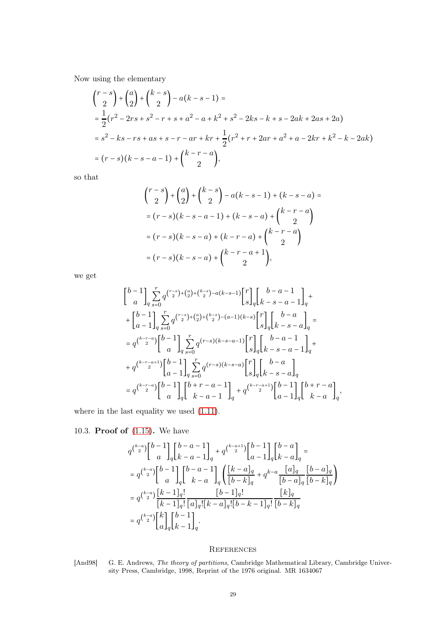Now using the elementary

$$
\begin{aligned}\n\binom{r-s}{2} + \binom{a}{2} + \binom{k-s}{2} - a(k-s-1) &= \\
&= \frac{1}{2} (r^2 - 2rs + s^2 - r + s + a^2 - a + k^2 + s^2 - 2ks - k + s - 2ak + 2as + 2a) \\
&= s^2 - ks - rs + as + s - r - ar + kr + \frac{1}{2} (r^2 + r + 2ar + a^2 + a - 2kr + k^2 - k - 2ak) \\
&= (r-s)(k-s-a-1) + \binom{k-r-a}{2},\n\end{aligned}
$$

so that

$$
{\binom{r-s}{2}} + {\binom{a}{2}} + {\binom{k-s}{2}} - a(k-s-1) + (k-s-a) =
$$
  
=  $(r-s)(k-s-a-1) + (k-s-a) + {\binom{k-r-a}{2}}$   
=  $(r-s)(k-s-a) + (k-r-a) + {\binom{k-r-a}{2}}$   
=  $(r-s)(k-s-a) + {\binom{k-r-a+1}{2}},$ 

we get

$$
\begin{split} &\begin{bmatrix}b-1\\a\end{bmatrix}_{q}\sum_{s=0}^{r}q^{\binom{r-s}{2}+\binom{a}{2}+\binom{k-s}{2}-a(k-s-1)}\begin{bmatrix}r\\s\end{bmatrix}_{q}\begin{bmatrix}b-a-1\\k-s-a-1\end{bmatrix}_{q}+\\ &+\begin{bmatrix}b-1\\a-1\end{bmatrix}_{q}\sum_{s=0}^{r}q^{\binom{r-s}{2}+\binom{a}{2}+\binom{k-s}{2}-(a-1)(k-s)}\begin{bmatrix}r\\s\end{bmatrix}_{q}\begin{bmatrix}b-a\\k-s-a\end{bmatrix}_{q}=\\ &=q^{\binom{k-r-a}{2}}\begin{bmatrix}b-1\\a\end{bmatrix}_{q}\sum_{s=0}^{r}q^{\binom{r-s}{(k-s-a-1)}}\begin{bmatrix}r\\s\end{bmatrix}_{q}\begin{bmatrix}b-a-1\\k-s-a-1\end{bmatrix}_{q}+\\ &+q^{\binom{k-r-a+1}{2}}\begin{bmatrix}b-1\\a-1\end{bmatrix}_{q}\sum_{s=0}^{r}q^{\binom{r-s}{(k-s-a)}}\begin{bmatrix}r\\s\end{bmatrix}_{q}\begin{bmatrix}b-a\\k-s-a\end{bmatrix}_{q}\\ &=q^{\binom{k-r-a}{2}}\begin{bmatrix}b-1\\a\end{bmatrix}_{q}\begin{bmatrix}b+r-a-1\\k-a-1\end{bmatrix}_{q}+q^{\binom{k-r-a+1}{2}}\begin{bmatrix}b-1\\a-1\end{bmatrix}_{q}\begin{bmatrix}b+r-a\\k-a\end{bmatrix}_{q}, \end{split}
$$

where in the last equality we used  $(1.11)$ .

<span id="page-28-0"></span>10.3. Proof of [\(1.15\)](#page-3-3). We have

$$
\begin{split} & q^{\binom{k-a}{2}}{b-1\brack a}\begin{bmatrix}b-a-1\\k-a-1\end{bmatrix}_q + q^{\binom{k-a+1}{2}}{b-1\brack a-1}\begin{bmatrix}b-a\\k-a\end{bmatrix}_q=\\ &=q^{\binom{k-a}{2}}{b-1\brack a}\begin{bmatrix}b-a-1\\k-a\end{bmatrix}_q \left({\frac{[k-a]_q}{[b-k]_q}}+q^{k-a}{\frac{[a]_q}{[b-a]_q}}{\frac{[b-a]_q}{[b-k]_q}}\right)\\ &=q^{\binom{k-a}{2}}{\frac{[k-1]_q!}{[k-1]_q!}\frac{[b-1]_q!}{[a]_q![k-a]_q![b-k-1]_q!}\frac{[k]_q}{[b-k]_q}\\ &=q^{\binom{k-a}{2}}{\frac{k}{a}}{\frac{k}{a}}{\frac{b-1}{a}}. \end{split}
$$

# <span id="page-28-1"></span>**REFERENCES**

<span id="page-28-2"></span>[And98] G. E. Andrews, The theory of partitions, Cambridge Mathematical Library, Cambridge University Press, Cambridge, 1998, Reprint of the 1976 original. MR 1634067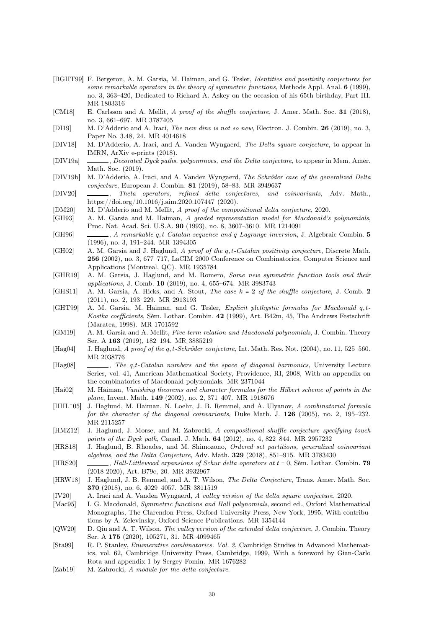- <span id="page-29-4"></span>[BGHT99] F. Bergeron, A. M. Garsia, M. Haiman, and G. Tesler, Identities and positivity conjectures for some remarkable operators in the theory of symmetric functions, Methods Appl. Anal. 6 (1999), no. 3, 363–420, Dedicated to Richard A. Askey on the occasion of his 65th birthday, Part III. MR 1803316
- <span id="page-29-7"></span>[CM18] E. Carlsson and A. Mellit, A proof of the shuffle conjecture, J. Amer. Math. Soc. 31 (2018), no. 3, 661–697. MR 3787405
- <span id="page-29-22"></span>[DI19] M. D'Adderio and A. Iraci, *The new dinv is not so new*, Electron. J. Combin. **26** (2019), no. 3, Paper No. 3.48, 24. MR 4014618
- <span id="page-29-12"></span>[DIV18] M. D'Adderio, A. Iraci, and A. Vanden Wyngaerd, The Delta square conjecture, to appear in IMRN, ArXiv e-prints (2018).
- <span id="page-29-13"></span>[DIV19a] , Decorated Dyck paths, polyominoes, and the Delta conjecture, to appear in Mem. Amer. Math. Soc. (2019).
- <span id="page-29-23"></span>[DIV19b] M. D'Adderio, A. Iraci, and A. Vanden Wyngaerd, The Schröder case of the generalized Delta conjecture, European J. Combin. 81 (2019), 58–83. MR 3949637
- <span id="page-29-0"></span>[DIV20] , Theta operators, refined delta conjectures, and coinvariants, Adv. Math., https://doi.org/10.1016/j.aim.2020.107447 (2020).
- <span id="page-29-11"></span>[DM20] M. D'Adderio and M. Mellit, A proof of the compositional delta conjecture, 2020.
- <span id="page-29-2"></span>[GH93] A. M. Garsia and M. Haiman, A graded representation model for Macdonald's polynomials, Proc. Nat. Acad. Sci. U.S.A. 90 (1993), no. 8, 3607–3610. MR 1214091
- <span id="page-29-3"></span>[GH96] , A remarkable q, t-Catalan sequence and q-Lagrange inversion, J. Algebraic Combin. 5 (1996), no. 3, 191–244. MR 1394305
- <span id="page-29-18"></span>[GH02] A. M. Garsia and J. Haglund, A proof of the q, t-Catalan positivity conjecture, Discrete Math. 256 (2002), no. 3, 677–717, LaCIM 2000 Conference on Combinatorics, Computer Science and Applications (Montreal, QC). MR 1935784
- <span id="page-29-21"></span>[GHR19] A. M. Garsia, J. Haglund, and M. Romero, Some new symmetric function tools and their applications, J. Comb. 10 (2019), no. 4, 655–674. MR 3983743
- <span id="page-29-19"></span>[GHS11] A. M. Garsia, A. Hicks, and A. Stout, The case  $k = 2$  of the shuffle conjecture, J. Comb. 2 (2011), no. 2, 193–229. MR 2913193
- <span id="page-29-17"></span>[GHT99] A. M. Garsia, M. Haiman, and G. Tesler, Explicit plethystic formulas for Macdonald q, t-Kostka coefficients, Sém. Lothar. Combin. 42 (1999), Art. B42m, 45, The Andrews Festschrift (Maratea, 1998). MR 1701592
- <span id="page-29-14"></span>[GM19] A. M. Garsia and A. Mellit, Five-term relation and Macdonald polynomials, J. Combin. Theory Ser. A 163 (2019), 182–194. MR 3885219
- <span id="page-29-20"></span>[Hag04] J. Haglund, A proof of the q, t-Schröder conjecture, Int. Math. Res. Not. (2004), no. 11, 525–560. MR 2038776
- <span id="page-29-16"></span>[Hag08] , The q,t-Catalan numbers and the space of diagonal harmonics, University Lecture Series, vol. 41, American Mathematical Society, Providence, RI, 2008, With an appendix on the combinatorics of Macdonald polynomials. MR 2371044
- <span id="page-29-6"></span>[Hai02] M. Haiman, Vanishing theorems and character formulas for the Hilbert scheme of points in the plane, Invent. Math. 149 (2002), no. 2, 371–407. MR 1918676
- <span id="page-29-5"></span> $[HHL+05]$ 05] J. Haglund, M. Haiman, N. Loehr, J. B. Remmel, and A. Ulyanov, A combinatorial formula for the character of the diagonal coinvariants, Duke Math. J. 126 (2005), no. 2, 195–232. MR 2115257
- <span id="page-29-8"></span>[HMZ12] J. Haglund, J. Morse, and M. Zabrocki, A compositional shuffle conjecture specifying touch points of the Dyck path, Canad. J. Math. 64 (2012), no. 4, 822–844. MR 2957232
- <span id="page-29-26"></span>[HRS18] J. Haglund, B. Rhoades, and M. Shimozono, Ordered set partitions, generalized coinvariant algebras, and the Delta Conjecture, Adv. Math. 329 (2018), 851–915. MR 3783430
- <span id="page-29-27"></span>[HRS20] , Hall-Littlewood expansions of Schur delta operators at  $t = 0$ , Sém. Lothar. Combin. 79 (2018-2020), Art. B79c, 20. MR 3932967
- <span id="page-29-9"></span>[HRW18] J. Haglund, J. B. Remmel, and A. T. Wilson, The Delta Conjecture, Trans. Amer. Math. Soc. 370 (2018), no. 6, 4029–4057. MR 3811519
- <span id="page-29-25"></span>[IV20] A. Iraci and A. Vanden Wyngaerd, A valley version of the delta square conjecture, 2020.
- <span id="page-29-1"></span>[Mac95] I. G. Macdonald, Symmetric functions and Hall polynomials, second ed., Oxford Mathematical Monographs, The Clarendon Press, Oxford University Press, New York, 1995, With contributions by A. Zelevinsky, Oxford Science Publications. MR 1354144
- <span id="page-29-24"></span>[QW20] D. Qiu and A. T. Wilson, The valley version of the extended delta conjecture, J. Combin. Theory Ser. A 175 (2020), 105271, 31. MR 4099465
- <span id="page-29-15"></span>[Sta99] R. P. Stanley, Enumerative combinatorics. Vol. 2, Cambridge Studies in Advanced Mathematics, vol. 62, Cambridge University Press, Cambridge, 1999, With a foreword by Gian-Carlo Rota and appendix 1 by Sergey Fomin. MR 1676282
- <span id="page-29-10"></span>[Zab19] M. Zabrocki, A module for the delta conjecture.